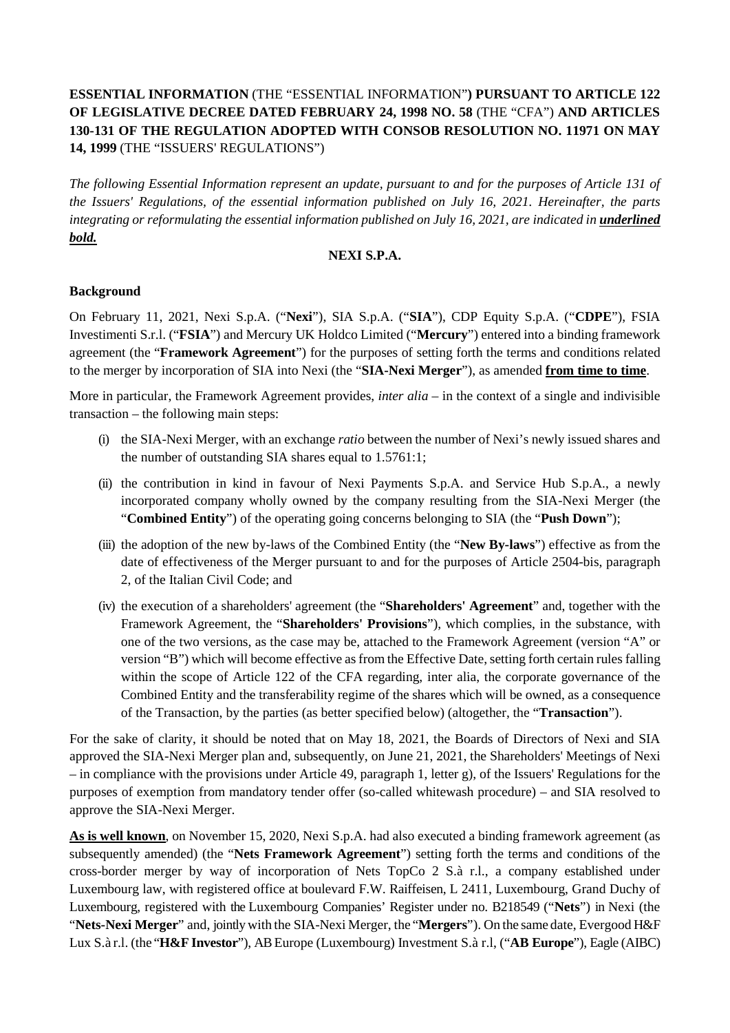# **ESSENTIAL INFORMATION** (THE "ESSENTIAL INFORMATION"**) PURSUANT TO ARTICLE 122 OF LEGISLATIVE DECREE DATED FEBRUARY 24, 1998 NO. 58** (THE "CFA") **AND ARTICLES 130-131 OF THE REGULATION ADOPTED WITH CONSOB RESOLUTION NO. 11971 ON MAY 14, 1999** (THE "ISSUERS' REGULATIONS")

*The following Essential Information represent an update, pursuant to and for the purposes of Article 131 of the Issuers' Regulations, of the essential information published on July 16, 2021. Hereinafter, the parts integrating or reformulating the essential information published on July 16, 2021, are indicated in underlined bold.*

#### **NEXI S.P.A.**

### **Background**

On February 11, 2021, Nexi S.p.A. ("**Nexi**"), SIA S.p.A. ("**SIA**"), CDP Equity S.p.A. ("**CDPE**"), FSIA Investimenti S.r.l. ("**FSIA**") and Mercury UK Holdco Limited ("**Mercury**") entered into a binding framework agreement (the "**Framework Agreement**") for the purposes of setting forth the terms and conditions related to the merger by incorporation of SIA into Nexi (the "**SIA-Nexi Merger**"), as amended **from time to time**.

More in particular, the Framework Agreement provides, *inter alia* – in the context of a single and indivisible transaction – the following main steps:

- (i) the SIA-Nexi Merger, with an exchange *ratio* between the number of Nexi's newly issued shares and the number of outstanding SIA shares equal to 1.5761:1;
- (ii) the contribution in kind in favour of Nexi Payments S.p.A. and Service Hub S.p.A., a newly incorporated company wholly owned by the company resulting from the SIA-Nexi Merger (the "**Combined Entity**") of the operating going concerns belonging to SIA (the "**Push Down**");
- (iii) the adoption of the new by-laws of the Combined Entity (the "**New By-laws**") effective as from the date of effectiveness of the Merger pursuant to and for the purposes of Article 2504-bis, paragraph 2, of the Italian Civil Code; and
- (iv) the execution of a shareholders' agreement (the "**Shareholders' Agreement**" and, together with the Framework Agreement, the "**Shareholders' Provisions**"), which complies, in the substance, with one of the two versions, as the case may be, attached to the Framework Agreement (version "A" or version "B") which will become effective as from the Effective Date, setting forth certain rules falling within the scope of Article 122 of the CFA regarding, inter alia, the corporate governance of the Combined Entity and the transferability regime of the shares which will be owned, as a consequence of the Transaction, by the parties (as better specified below) (altogether, the "**Transaction**").

For the sake of clarity, it should be noted that on May 18, 2021, the Boards of Directors of Nexi and SIA approved the SIA-Nexi Merger plan and, subsequently, on June 21, 2021, the Shareholders' Meetings of Nexi – in compliance with the provisions under Article 49, paragraph 1, letter g), of the Issuers' Regulations for the purposes of exemption from mandatory tender offer (so-called whitewash procedure) – and SIA resolved to approve the SIA-Nexi Merger.

**As is well known**, on November 15, 2020, Nexi S.p.A. had also executed a binding framework agreement (as subsequently amended) (the "**Nets Framework Agreement**") setting forth the terms and conditions of the cross-border merger by way of incorporation of Nets TopCo 2 S.à r.l., a company established under Luxembourg law, with registered office at boulevard F.W. Raiffeisen, L 2411, Luxembourg, Grand Duchy of Luxembourg, registered with the Luxembourg Companies' Register under no. B218549 ("**Nets**") in Nexi (the "**Nets-Nexi Merger**" and, jointly with the SIA-Nexi Merger, the "**Mergers**"). On the same date, Evergood H&F Lux S.à r.l. (the "**H&F Investor**"), AB Europe (Luxembourg) Investment S.à r.l, ("**AB Europe**"), Eagle (AIBC)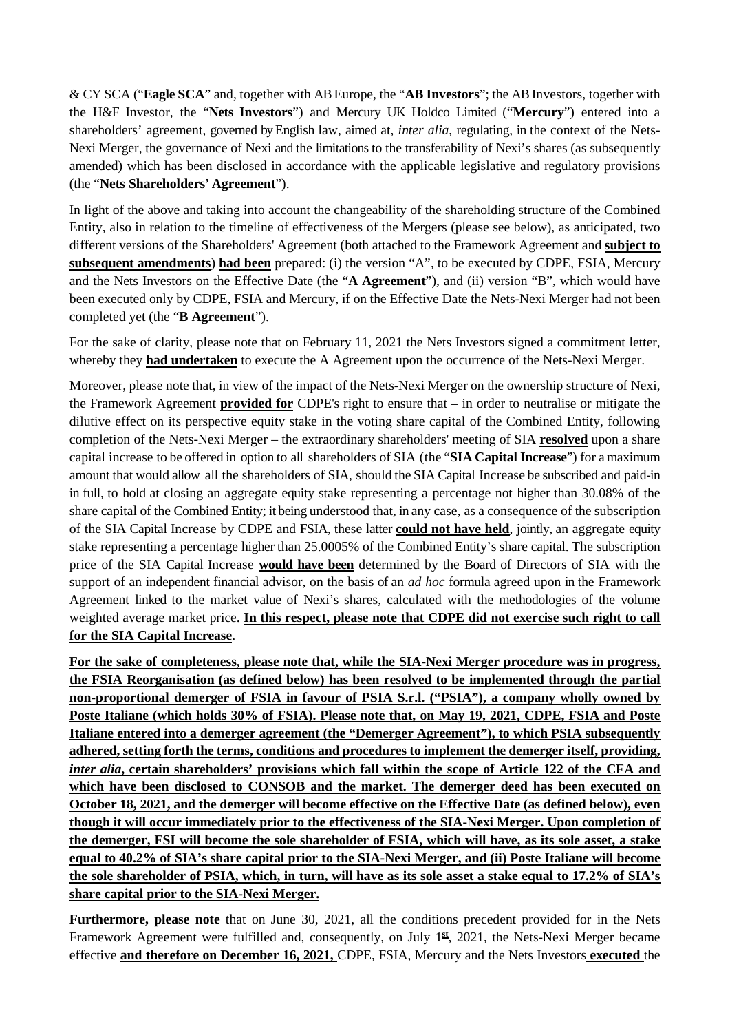& CY SCA ("**Eagle SCA**" and, together with AB Europe, the "**AB Investors**"; the AB Investors, together with the H&F Investor, the "**Nets Investors**") and Mercury UK Holdco Limited ("**Mercury**") entered into a shareholders' agreement, governed by English law, aimed at, *inter alia*, regulating, in the context of the Nets-Nexi Merger, the governance of Nexi and the limitations to the transferability of Nexi's shares (as subsequently amended) which has been disclosed in accordance with the applicable legislative and regulatory provisions (the "**Nets Shareholders' Agreement**").

In light of the above and taking into account the changeability of the shareholding structure of the Combined Entity, also in relation to the timeline of effectiveness of the Mergers (please see below), as anticipated, two different versions of the Shareholders' Agreement (both attached to the Framework Agreement and **subject to subsequent amendments**) **had been** prepared: (i) the version "A", to be executed by CDPE, FSIA, Mercury and the Nets Investors on the Effective Date (the "**A Agreement**"), and (ii) version "B", which would have been executed only by CDPE, FSIA and Mercury, if on the Effective Date the Nets-Nexi Merger had not been completed yet (the "**B Agreement**").

For the sake of clarity, please note that on February 11, 2021 the Nets Investors signed a commitment letter, whereby they **had undertaken** to execute the A Agreement upon the occurrence of the Nets-Nexi Merger.

Moreover, please note that, in view of the impact of the Nets-Nexi Merger on the ownership structure of Nexi, the Framework Agreement **provided for** CDPE's right to ensure that – in order to neutralise or mitigate the dilutive effect on its perspective equity stake in the voting share capital of the Combined Entity, following completion of the Nets-Nexi Merger – the extraordinary shareholders' meeting of SIA **resolved** upon a share capital increase to be offered in option to all shareholders of SIA (the "**SIA Capital Increase**") for a maximum amount that would allow all the shareholders of SIA, should the SIA Capital Increase be subscribed and paid-in in full, to hold at closing an aggregate equity stake representing a percentage not higher than 30.08% of the share capital of the Combined Entity; it being understood that, in any case, as a consequence of the subscription of the SIA Capital Increase by CDPE and FSIA, these latter **could not have held**, jointly, an aggregate equity stake representing a percentage higher than 25.0005% of the Combined Entity's share capital. The subscription price of the SIA Capital Increase **would have been** determined by the Board of Directors of SIA with the support of an independent financial advisor, on the basis of an *ad hoc* formula agreed upon in the Framework Agreement linked to the market value of Nexi's shares, calculated with the methodologies of the volume weighted average market price. **In this respect, please note that CDPE did not exercise such right to call for the SIA Capital Increase**.

**For the sake of completeness, please note that, while the SIA-Nexi Merger procedure was in progress, the FSIA Reorganisation (as defined below) has been resolved to be implemented through the partial non-proportional demerger of FSIA in favour of PSIA S.r.l. ("PSIA"), a company wholly owned by Poste Italiane (which holds 30% of FSIA). Please note that, on May 19, 2021, CDPE, FSIA and Poste Italiane entered into a demerger agreement (the "Demerger Agreement"), to which PSIA subsequently adhered, setting forth the terms, conditions and procedures to implement the demerger itself, providing,**  *inter alia***, certain shareholders' provisions which fall within the scope of Article 122 of the CFA and which have been disclosed to CONSOB and the market. The demerger deed has been executed on October 18, 2021, and the demerger will become effective on the Effective Date (as defined below), even though it will occur immediately prior to the effectiveness of the SIA-Nexi Merger. Upon completion of the demerger, FSI will become the sole shareholder of FSIA, which will have, as its sole asset, a stake equal to 40.2% of SIA's share capital prior to the SIA-Nexi Merger, and (ii) Poste Italiane will become the sole shareholder of PSIA, which, in turn, will have as its sole asset a stake equal to 17.2% of SIA's share capital prior to the SIA-Nexi Merger.**

**Furthermore, please note** that on June 30, 2021, all the conditions precedent provided for in the Nets Framework Agreement were fulfilled and, consequently, on July 1**st**, 2021, the Nets-Nexi Merger became effective **and therefore on December 16, 2021,** CDPE, FSIA, Mercury and the Nets Investors **executed** the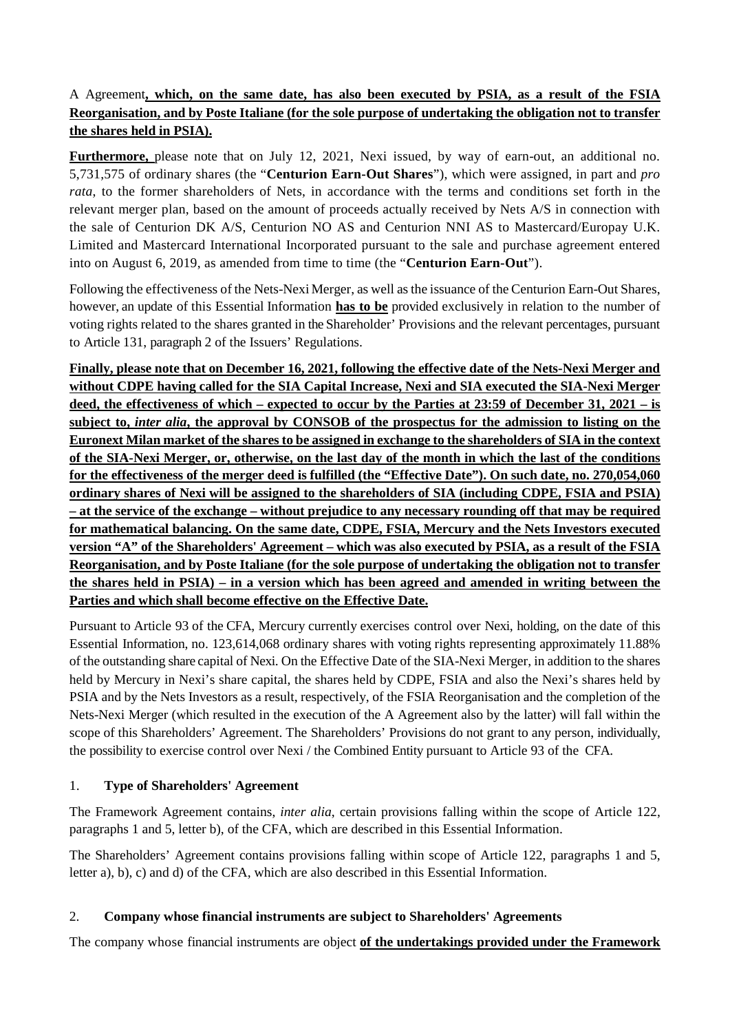# A Agreement**, which, on the same date, has also been executed by PSIA, as a result of the FSIA Reorganisation, and by Poste Italiane (for the sole purpose of undertaking the obligation not to transfer the shares held in PSIA).**

**Furthermore,** please note that on July 12, 2021, Nexi issued, by way of earn-out, an additional no. 5,731,575 of ordinary shares (the "**Centurion Earn-Out Shares**"), which were assigned, in part and *pro rata*, to the former shareholders of Nets, in accordance with the terms and conditions set forth in the relevant merger plan, based on the amount of proceeds actually received by Nets A/S in connection with the sale of Centurion DK A/S, Centurion NO AS and Centurion NNI AS to Mastercard/Europay U.K. Limited and Mastercard International Incorporated pursuant to the sale and purchase agreement entered into on August 6, 2019, as amended from time to time (the "**Centurion Earn-Out**").

Following the effectiveness of the Nets-Nexi Merger, as well as the issuance of the Centurion Earn-Out Shares, however, an update of this Essential Information **has to be** provided exclusively in relation to the number of voting rights related to the shares granted in the Shareholder' Provisions and the relevant percentages, pursuant to Article 131, paragraph 2 of the Issuers' Regulations.

**Finally, please note that on December 16, 2021, following the effective date of the Nets-Nexi Merger and without CDPE having called for the SIA Capital Increase, Nexi and SIA executed the SIA-Nexi Merger deed, the effectiveness of which – expected to occur by the Parties at 23:59 of December 31, 2021 – is subject to,** *inter alia***, the approval by CONSOB of the prospectus for the admission to listing on the Euronext Milan market of the shares to be assigned in exchange to the shareholders of SIA in the context of the SIA-Nexi Merger, or, otherwise, on the last day of the month in which the last of the conditions for the effectiveness of the merger deed is fulfilled (the "Effective Date"). On such date, no. 270,054,060 ordinary shares of Nexi will be assigned to the shareholders of SIA (including CDPE, FSIA and PSIA) – at the service of the exchange – without prejudice to any necessary rounding off that may be required for mathematical balancing. On the same date, CDPE, FSIA, Mercury and the Nets Investors executed version "A" of the Shareholders' Agreement – which was also executed by PSIA, as a result of the FSIA Reorganisation, and by Poste Italiane (for the sole purpose of undertaking the obligation not to transfer the shares held in PSIA) – in a version which has been agreed and amended in writing between the Parties and which shall become effective on the Effective Date.**

Pursuant to Article 93 of the CFA, Mercury currently exercises control over Nexi, holding, on the date of this Essential Information, no. 123,614,068 ordinary shares with voting rights representing approximately 11.88% of the outstanding share capital of Nexi. On the Effective Date of the SIA-Nexi Merger, in addition to the shares held by Mercury in Nexi's share capital, the shares held by CDPE, FSIA and also the Nexi's shares held by PSIA and by the Nets Investors as a result, respectively, of the FSIA Reorganisation and the completion of the Nets-Nexi Merger (which resulted in the execution of the A Agreement also by the latter) will fall within the scope of this Shareholders' Agreement. The Shareholders' Provisions do not grant to any person, individually, the possibility to exercise control over Nexi / the Combined Entity pursuant to Article 93 of the CFA.

### 1. **Type of Shareholders' Agreement**

The Framework Agreement contains, *inter alia*, certain provisions falling within the scope of Article 122, paragraphs 1 and 5, letter b), of the CFA, which are described in this Essential Information.

The Shareholders' Agreement contains provisions falling within scope of Article 122, paragraphs 1 and 5, letter a), b), c) and d) of the CFA, which are also described in this Essential Information.

# 2. **Company whose financial instruments are subject to Shareholders' Agreements**

The company whose financial instruments are object **of the undertakings provided under the Framework**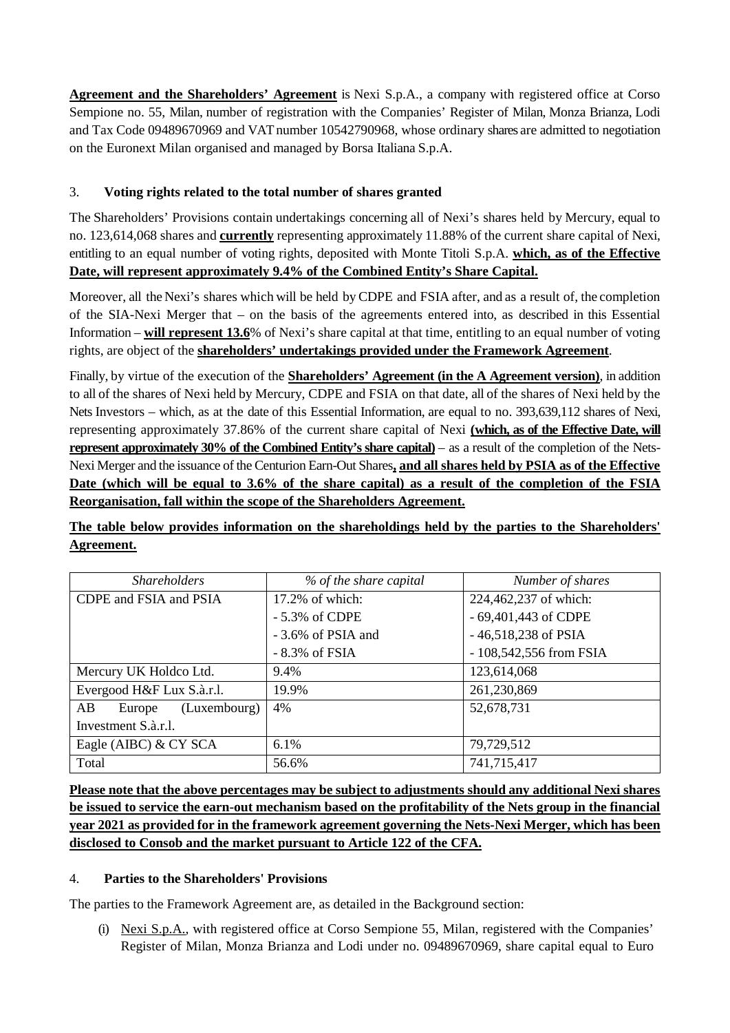**Agreement and the Shareholders' Agreement** is Nexi S.p.A., a company with registered office at Corso Sempione no. 55, Milan, number of registration with the Companies' Register of Milan, Monza Brianza, Lodi and Tax Code 09489670969 and VAT number 10542790968, whose ordinary shares are admitted to negotiation on the Euronext Milan organised and managed by Borsa Italiana S.p.A.

# 3. **Voting rights related to the total number of shares granted**

The Shareholders' Provisions contain undertakings concerning all of Nexi's shares held by Mercury, equal to no. 123,614,068 shares and **currently** representing approximately 11.88% of the current share capital of Nexi, entitling to an equal number of voting rights, deposited with Monte Titoli S.p.A. **which, as of the Effective Date, will represent approximately 9.4% of the Combined Entity's Share Capital.**

Moreover, all the Nexi's shares which will be held byCDPE and FSIA after, and as a result of, the completion of the SIA-Nexi Merger that – on the basis of the agreements entered into, as described in this Essential Information – **will represent 13.6**% of Nexi's share capital at that time, entitling to an equal number of voting rights, are object of the **shareholders' undertakings provided under the Framework Agreement**.

Finally, by virtue of the execution of the **Shareholders' Agreement (in the A Agreement version)**, in addition to all of the shares of Nexi held by Mercury, CDPE and FSIA on that date, all of the shares of Nexi held by the Nets Investors – which, as at the date of this Essential Information, are equal to no. 393,639,112 shares of Nexi, representing approximately 37.86% of the current share capital of Nexi **(which, as of the Effective Date, will represent approximately 30% of the Combined Entity's share capital)** – as a result of the completion of the Nets-Nexi Merger and the issuance of the Centurion Earn-Out Shares**, and all shares held by PSIA as of the Effective Date (which will be equal to 3.6% of the share capital) as a result of the completion of the FSIA Reorganisation, fall within the scope of the Shareholders Agreement.**

**The table below provides information on the shareholdings held by the parties to the Shareholders' Agreement.** 

| <b>Shareholders</b>          | % of the share capital | Number of shares        |
|------------------------------|------------------------|-------------------------|
| CDPE and FSIA and PSIA       | 17.2% of which:        | 224,462,237 of which:   |
|                              | - 5.3% of CDPE         | - 69,401,443 of CDPE    |
|                              | $-3.6\%$ of PSIA and   | $-46,518,238$ of PSIA   |
|                              | $-8.3\%$ of FSIA       | - 108,542,556 from FSIA |
| Mercury UK Holdco Ltd.       | 9.4%                   | 123,614,068             |
| Evergood H&F Lux S.à.r.l.    | 19.9%                  | 261,230,869             |
| AB<br>(Luxembourg)<br>Europe | 4%                     | 52,678,731              |
| Investment S.à.r.l.          |                        |                         |
| Eagle (AIBC) & CY SCA        | 6.1%                   | 79,729,512              |
| Total                        | 56.6%                  | 741,715,417             |

**Please note that the above percentages may be subject to adjustments should any additional Nexi shares be issued to service the earn-out mechanism based on the profitability of the Nets group in the financial year 2021 as provided for in the framework agreement governing the Nets-Nexi Merger, which has been disclosed to Consob and the market pursuant to Article 122 of the CFA.**

### 4. **Parties to the Shareholders' Provisions**

The parties to the Framework Agreement are, as detailed in the Background section:

(i) Nexi S.p.A., with registered office at Corso Sempione 55, Milan, registered with the Companies' Register of Milan, Monza Brianza and Lodi under no. 09489670969, share capital equal to Euro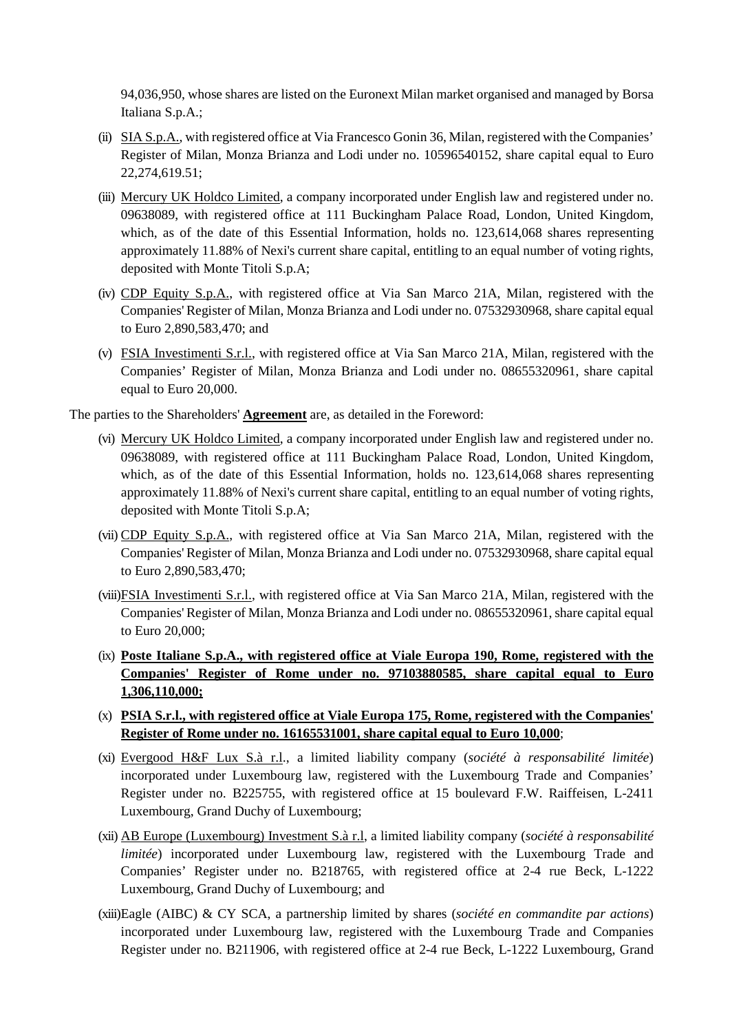94,036,950, whose shares are listed on the Euronext Milan market organised and managed by Borsa Italiana S.p.A.;

- (ii) SIA S.p.A., with registered office at Via Francesco Gonin 36, Milan, registered with the Companies' Register of Milan, Monza Brianza and Lodi under no. 10596540152, share capital equal to Euro 22,274,619.51;
- (iii) Mercury UK Holdco Limited, a company incorporated under English law and registered under no. 09638089, with registered office at 111 Buckingham Palace Road, London, United Kingdom, which, as of the date of this Essential Information, holds no. 123,614,068 shares representing approximately 11.88% of Nexi's current share capital, entitling to an equal number of voting rights, deposited with Monte Titoli S.p.A;
- (iv) CDP Equity S.p.A., with registered office at Via San Marco 21A, Milan, registered with the Companies' Register of Milan, Monza Brianza and Lodi under no. 07532930968, share capital equal to Euro 2,890,583,470; and
- (v) FSIA Investimenti S.r.l., with registered office at Via San Marco 21A, Milan, registered with the Companies' Register of Milan, Monza Brianza and Lodi under no. 08655320961, share capital equal to Euro 20,000.

The parties to the Shareholders' **Agreement** are, as detailed in the Foreword:

- (vi) Mercury UK Holdco Limited, a company incorporated under English law and registered under no. 09638089, with registered office at 111 Buckingham Palace Road, London, United Kingdom, which, as of the date of this Essential Information, holds no. 123,614,068 shares representing approximately 11.88% of Nexi's current share capital, entitling to an equal number of voting rights, deposited with Monte Titoli S.p.A;
- (vii) CDP Equity S.p.A., with registered office at Via San Marco 21A, Milan, registered with the Companies' Register of Milan, Monza Brianza and Lodi under no. 07532930968, share capital equal to Euro 2,890,583,470;
- (viii)FSIA Investimenti S.r.l., with registered office at Via San Marco 21A, Milan, registered with the Companies' Register of Milan, Monza Brianza and Lodi under no. 08655320961, share capital equal to Euro 20,000;
- (ix) **Poste Italiane S.p.A., with registered office at Viale Europa 190, Rome, registered with the Companies' Register of Rome under no. 97103880585, share capital equal to Euro 1,306,110,000;**
- (x) **PSIA S.r.l., with registered office at Viale Europa 175, Rome, registered with the Companies' Register of Rome under no. 16165531001, share capital equal to Euro 10,000**;
- (xi) Evergood H&F Lux S.à r.l., a limited liability company (*société à responsabilité limitée*) incorporated under Luxembourg law, registered with the Luxembourg Trade and Companies' Register under no. B225755, with registered office at 15 boulevard F.W. Raiffeisen, L-2411 Luxembourg, Grand Duchy of Luxembourg;
- (xii) AB Europe (Luxembourg) Investment S.à r.l, a limited liability company (*société à responsabilité limitée*) incorporated under Luxembourg law, registered with the Luxembourg Trade and Companies' Register under no. B218765, with registered office at 2-4 rue Beck, L-1222 Luxembourg, Grand Duchy of Luxembourg; and
- (xiii)Eagle (AIBC) & CY SCA, a partnership limited by shares (*société en commandite par actions*) incorporated under Luxembourg law, registered with the Luxembourg Trade and Companies Register under no. B211906, with registered office at 2-4 rue Beck, L-1222 Luxembourg, Grand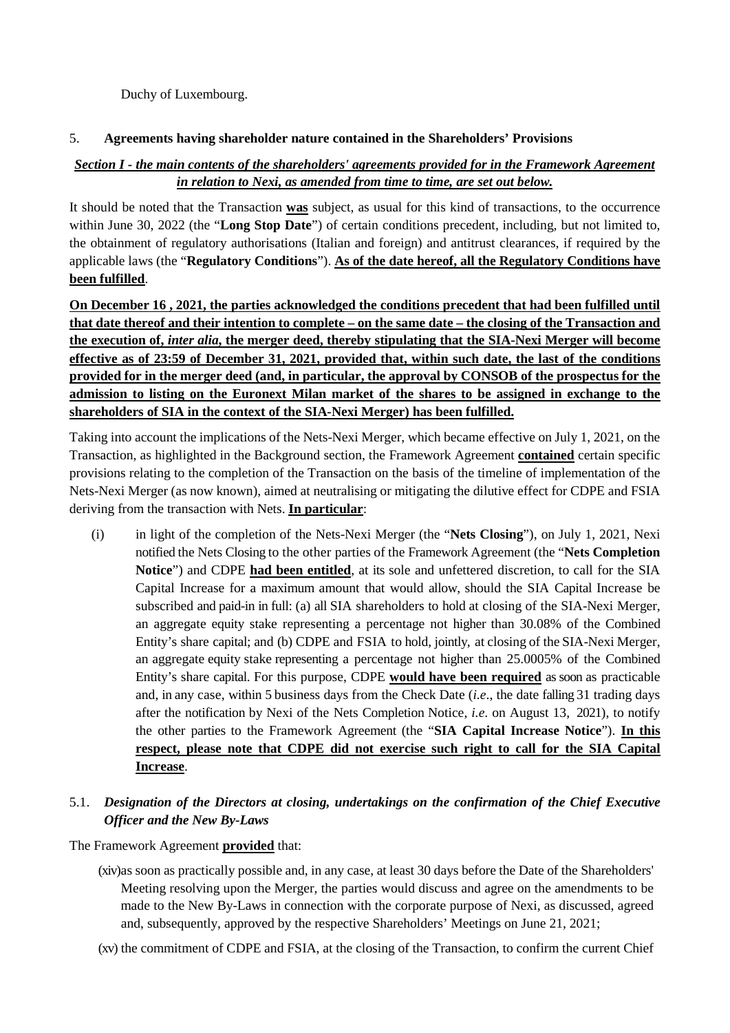Duchy of Luxembourg.

### 5. **Agreements having shareholder nature contained in the Shareholders' Provisions**

# *Section I - the main contents of the shareholders' agreements provided for in the Framework Agreement in relation to Nexi, as amended from time to time, are set out below.*

It should be noted that the Transaction **was** subject, as usual for this kind of transactions, to the occurrence within June 30, 2022 (the "**Long Stop Date**") of certain conditions precedent, including, but not limited to, the obtainment of regulatory authorisations (Italian and foreign) and antitrust clearances, if required by the applicable laws (the "**Regulatory Conditions**"). **As of the date hereof, all the Regulatory Conditions have been fulfilled**.

**On December 16 , 2021, the parties acknowledged the conditions precedent that had been fulfilled until that date thereof and their intention to complete – on the same date – the closing of the Transaction and the execution of,** *inter alia***, the merger deed, thereby stipulating that the SIA-Nexi Merger will become effective as of 23:59 of December 31, 2021, provided that, within such date, the last of the conditions provided for in the merger deed (and, in particular, the approval by CONSOB of the prospectus for the admission to listing on the Euronext Milan market of the shares to be assigned in exchange to the shareholders of SIA in the context of the SIA-Nexi Merger) has been fulfilled.**

Taking into account the implications of the Nets-Nexi Merger, which became effective on July 1, 2021, on the Transaction, as highlighted in the Background section, the Framework Agreement **contained** certain specific provisions relating to the completion of the Transaction on the basis of the timeline of implementation of the Nets-Nexi Merger (as now known), aimed at neutralising or mitigating the dilutive effect for CDPE and FSIA deriving from the transaction with Nets. **In particular**:

(i) in light of the completion of the Nets-Nexi Merger (the "**Nets Closing**"), on July 1, 2021, Nexi notified the Nets Closing to the other parties of the Framework Agreement (the "**Nets Completion Notice**") and CDPE **had been entitled**, at its sole and unfettered discretion, to call for the SIA Capital Increase for a maximum amount that would allow, should the SIA Capital Increase be subscribed and paid-in in full: (a) all SIA shareholders to hold at closing of the SIA-Nexi Merger, an aggregate equity stake representing a percentage not higher than 30.08% of the Combined Entity's share capital; and (b) CDPE and FSIA to hold, jointly, at closing of the SIA-Nexi Merger, an aggregate equity stake representing a percentage not higher than 25.0005% of the Combined Entity's share capital. For this purpose, CDPE **would have been required** as soon as practicable and, in any case, within 5 business days from the Check Date (*i.e*., the date falling 31 trading days after the notification by Nexi of the Nets Completion Notice, *i.e*. on August 13, 2021), to notify the other parties to the Framework Agreement (the "**SIA Capital Increase Notice**"). **In this respect, please note that CDPE did not exercise such right to call for the SIA Capital Increase**.

# 5.1. *Designation of the Directors at closing, undertakings on the confirmation of the Chief Executive Officer and the New By-Laws*

# The Framework Agreement **provided** that:

- (xiv)as soon as practically possible and, in any case, at least 30 days before the Date of the Shareholders' Meeting resolving upon the Merger, the parties would discuss and agree on the amendments to be made to the New By-Laws in connection with the corporate purpose of Nexi, as discussed, agreed and, subsequently, approved by the respective Shareholders' Meetings on June 21, 2021;
- (xv) the commitment of CDPE and FSIA, at the closing of the Transaction, to confirm the current Chief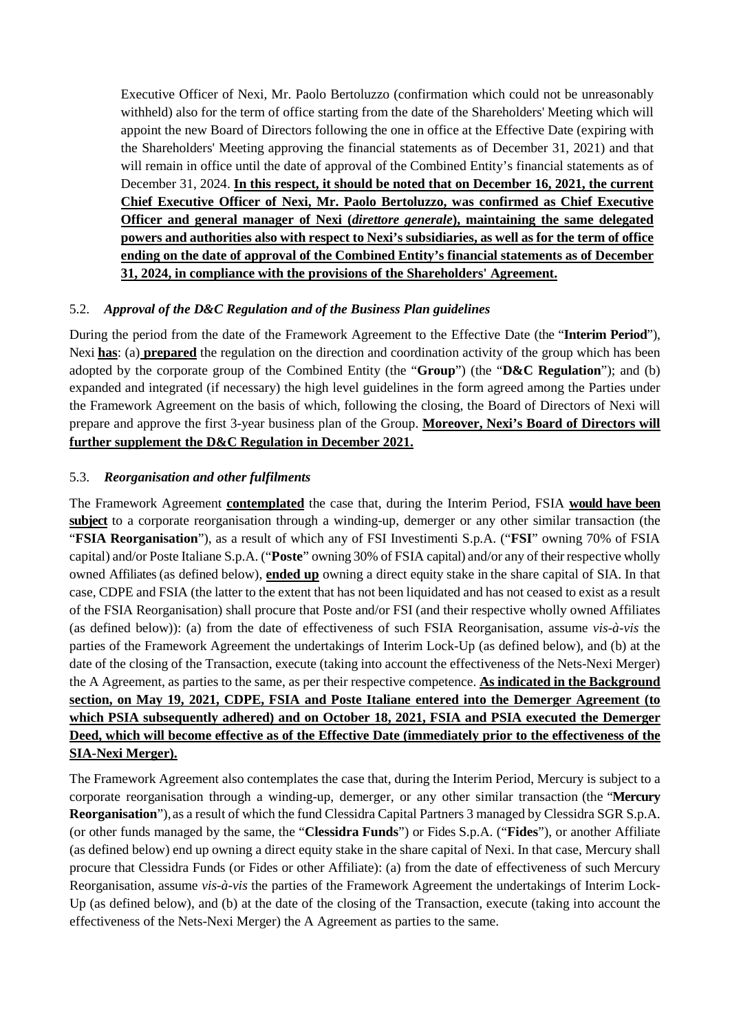Executive Officer of Nexi, Mr. Paolo Bertoluzzo (confirmation which could not be unreasonably withheld) also for the term of office starting from the date of the Shareholders' Meeting which will appoint the new Board of Directors following the one in office at the Effective Date (expiring with the Shareholders' Meeting approving the financial statements as of December 31, 2021) and that will remain in office until the date of approval of the Combined Entity's financial statements as of December 31, 2024. **In this respect, it should be noted that on December 16, 2021, the current Chief Executive Officer of Nexi, Mr. Paolo Bertoluzzo, was confirmed as Chief Executive Officer and general manager of Nexi (***direttore generale***), maintaining the same delegated powers and authorities also with respect to Nexi's subsidiaries, as well as for the term of office ending on the date of approval of the Combined Entity's financial statements as of December 31, 2024, in compliance with the provisions of the Shareholders' Agreement.**

### 5.2. *Approval of the D&C Regulation and of the Business Plan guidelines*

During the period from the date of the Framework Agreement to the Effective Date (the "**Interim Period**"), Nexi **has**: (a) **prepared** the regulation on the direction and coordination activity of the group which has been adopted by the corporate group of the Combined Entity (the "**Group**") (the "**D&C Regulation**"); and (b) expanded and integrated (if necessary) the high level guidelines in the form agreed among the Parties under the Framework Agreement on the basis of which, following the closing, the Board of Directors of Nexi will prepare and approve the first 3-year business plan of the Group. **Moreover, Nexi's Board of Directors will further supplement the D&C Regulation in December 2021.**

### 5.3. *Reorganisation and other fulfilments*

The Framework Agreement **contemplated** the case that, during the Interim Period, FSIA **would have been subject** to a corporate reorganisation through a winding-up, demerger or any other similar transaction (the "**FSIA Reorganisation**"), as a result of which any of FSI Investimenti S.p.A. ("**FSI**" owning 70% of FSIA capital) and/or Poste Italiane S.p.A. ("**Poste**" owning 30% of FSIA capital) and/or any of their respective wholly owned Affiliates (as defined below), **ended up** owning a direct equity stake in the share capital of SIA. In that case, CDPE and FSIA (the latter to the extent that has not been liquidated and has not ceased to exist as a result of the FSIA Reorganisation) shall procure that Poste and/or FSI (and their respective wholly owned Affiliates (as defined below)): (a) from the date of effectiveness of such FSIA Reorganisation, assume *vis-à-vis* the parties of the Framework Agreement the undertakings of Interim Lock-Up (as defined below), and (b) at the date of the closing of the Transaction, execute (taking into account the effectiveness of the Nets-Nexi Merger) the A Agreement, as parties to the same, as per their respective competence. **As indicated in the Background section, on May 19, 2021, CDPE, FSIA and Poste Italiane entered into the Demerger Agreement (to which PSIA subsequently adhered) and on October 18, 2021, FSIA and PSIA executed the Demerger Deed, which will become effective as of the Effective Date (immediately prior to the effectiveness of the SIA-Nexi Merger).**

The Framework Agreement also contemplates the case that, during the Interim Period, Mercury is subject to a corporate reorganisation through a winding-up, demerger, or any other similar transaction (the "**Mercury Reorganisation**"),as a result of which the fund Clessidra Capital Partners 3 managed by Clessidra SGR S.p.A. (or other funds managed by the same, the "**Clessidra Funds**") or Fides S.p.A. ("**Fides**"), or another Affiliate (as defined below) end up owning a direct equity stake in the share capital of Nexi. In that case, Mercury shall procure that Clessidra Funds (or Fides or other Affiliate): (a) from the date of effectiveness of such Mercury Reorganisation, assume *vis-à-vis* the parties of the Framework Agreement the undertakings of Interim Lock-Up (as defined below), and (b) at the date of the closing of the Transaction, execute (taking into account the effectiveness of the Nets-Nexi Merger) the A Agreement as parties to the same.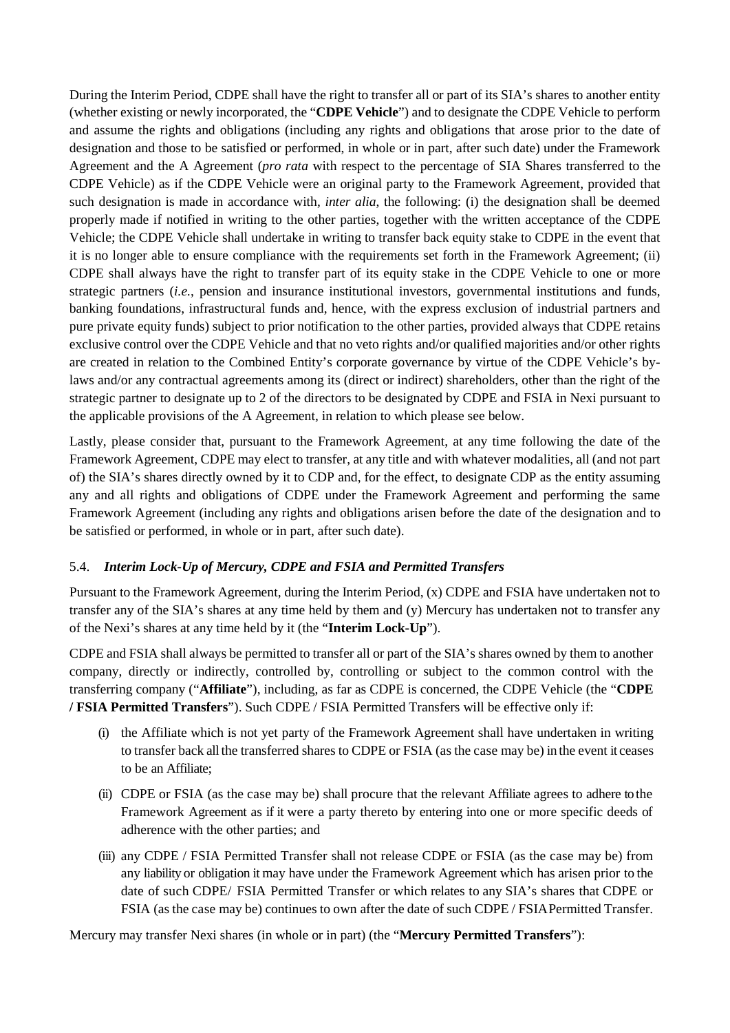During the Interim Period, CDPE shall have the right to transfer all or part of its SIA's shares to another entity (whether existing or newly incorporated, the "**CDPE Vehicle**") and to designate the CDPE Vehicle to perform and assume the rights and obligations (including any rights and obligations that arose prior to the date of designation and those to be satisfied or performed, in whole or in part, after such date) under the Framework Agreement and the A Agreement (*pro rata* with respect to the percentage of SIA Shares transferred to the CDPE Vehicle) as if the CDPE Vehicle were an original party to the Framework Agreement, provided that such designation is made in accordance with, *inter alia*, the following: (i) the designation shall be deemed properly made if notified in writing to the other parties, together with the written acceptance of the CDPE Vehicle; the CDPE Vehicle shall undertake in writing to transfer back equity stake to CDPE in the event that it is no longer able to ensure compliance with the requirements set forth in the Framework Agreement; (ii) CDPE shall always have the right to transfer part of its equity stake in the CDPE Vehicle to one or more strategic partners (*i.e.*, pension and insurance institutional investors, governmental institutions and funds, banking foundations, infrastructural funds and, hence, with the express exclusion of industrial partners and pure private equity funds) subject to prior notification to the other parties, provided always that CDPE retains exclusive control over the CDPE Vehicle and that no veto rights and/or qualified majorities and/or other rights are created in relation to the Combined Entity's corporate governance by virtue of the CDPE Vehicle's bylaws and/or any contractual agreements among its (direct or indirect) shareholders, other than the right of the strategic partner to designate up to 2 of the directors to be designated by CDPE and FSIA in Nexi pursuant to the applicable provisions of the A Agreement, in relation to which please see below.

Lastly, please consider that, pursuant to the Framework Agreement, at any time following the date of the Framework Agreement, CDPE may elect to transfer, at any title and with whatever modalities, all (and not part of) the SIA's shares directly owned by it to CDP and, for the effect, to designate CDP as the entity assuming any and all rights and obligations of CDPE under the Framework Agreement and performing the same Framework Agreement (including any rights and obligations arisen before the date of the designation and to be satisfied or performed, in whole or in part, after such date).

### 5.4. *Interim Lock-Up of Mercury, CDPE and FSIA and Permitted Transfers*

Pursuant to the Framework Agreement, during the Interim Period, (x) CDPE and FSIA have undertaken not to transfer any of the SIA's shares at any time held by them and (y) Mercury has undertaken not to transfer any of the Nexi's shares at any time held by it (the "**Interim Lock-Up**").

CDPE and FSIA shall always be permitted to transfer all or part of the SIA's shares owned by them to another company, directly or indirectly, controlled by, controlling or subject to the common control with the transferring company ("**Affiliate**"), including, as far as CDPE is concerned, the CDPE Vehicle (the "**CDPE / FSIA Permitted Transfers**"). Such CDPE / FSIA Permitted Transfers will be effective only if:

- (i) the Affiliate which is not yet party of the Framework Agreement shall have undertaken in writing to transfer back all the transferred shares to CDPE or FSIA (as the case may be) in the event it ceases to be an Affiliate;
- (ii) CDPE or FSIA (as the case may be) shall procure that the relevant Affiliate agrees to adhere to the Framework Agreement as if it were a party thereto by entering into one or more specific deeds of adherence with the other parties; and
- (iii) any CDPE / FSIA Permitted Transfer shall not release CDPE or FSIA (as the case may be) from any liability or obligation it may have under the Framework Agreement which has arisen prior to the date of such CDPE/ FSIA Permitted Transfer or which relates to any SIA's shares that CDPE or FSIA (as the case may be) continues to own after the date of such CDPE / FSIAPermitted Transfer.

Mercury may transfer Nexi shares (in whole or in part) (the "**Mercury Permitted Transfers**"):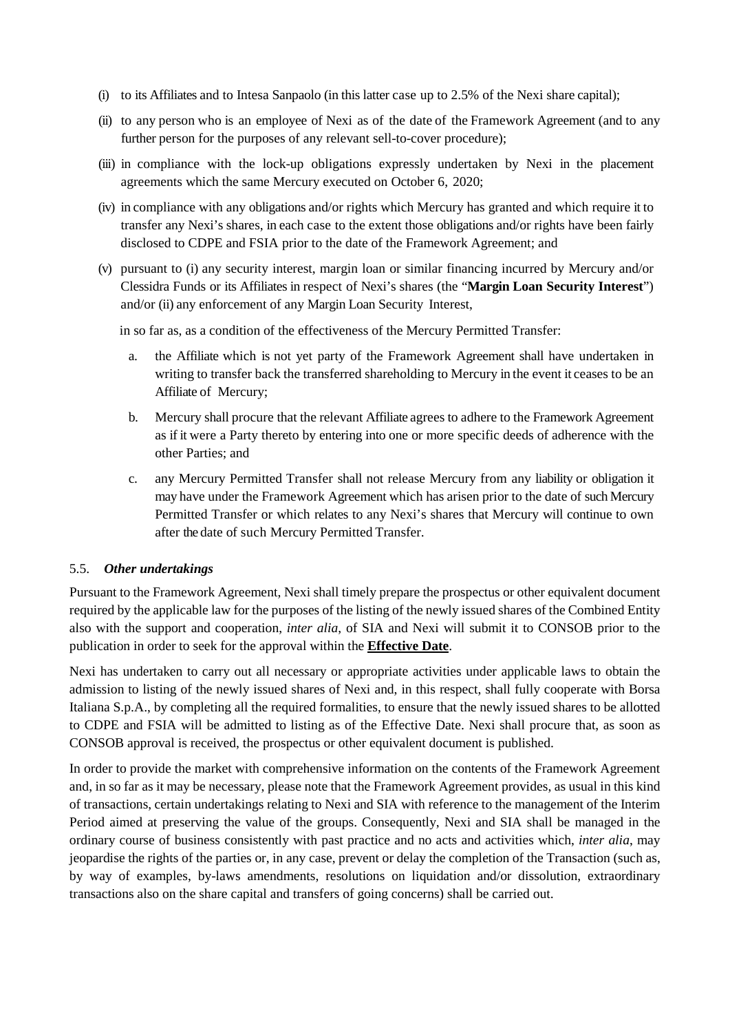- (i) to its Affiliates and to Intesa Sanpaolo (in this latter case up to 2.5% of the Nexi share capital);
- (ii) to any person who is an employee of Nexi as of the date of the Framework Agreement (and to any further person for the purposes of any relevant sell-to-cover procedure);
- (iii) in compliance with the lock-up obligations expressly undertaken by Nexi in the placement agreements which the same Mercury executed on October 6, 2020;
- (iv) in compliance with any obligations and/or rights which Mercury has granted and which require it to transfer any Nexi's shares, in each case to the extent those obligations and/or rights have been fairly disclosed to CDPE and FSIA prior to the date of the Framework Agreement; and
- (v) pursuant to (i) any security interest, margin loan or similar financing incurred by Mercury and/or Clessidra Funds or its Affiliates in respect of Nexi's shares (the "**Margin Loan Security Interest**") and/or (ii) any enforcement of any Margin Loan Security Interest,

in so far as, as a condition of the effectiveness of the Mercury Permitted Transfer:

- a. the Affiliate which is not yet party of the Framework Agreement shall have undertaken in writing to transfer back the transferred shareholding to Mercury in the event it ceases to be an Affiliate of Mercury;
- b. Mercury shall procure that the relevant Affiliate agrees to adhere to the Framework Agreement as if it were a Party thereto by entering into one or more specific deeds of adherence with the other Parties; and
- c. any Mercury Permitted Transfer shall not release Mercury from any liability or obligation it may have under the Framework Agreement which has arisen prior to the date of such Mercury Permitted Transfer or which relates to any Nexi's shares that Mercury will continue to own after the date of such Mercury Permitted Transfer.

#### 5.5. *Other undertakings*

Pursuant to the Framework Agreement, Nexi shall timely prepare the prospectus or other equivalent document required by the applicable law for the purposes of the listing of the newly issued shares of the Combined Entity also with the support and cooperation, *inter alia*, of SIA and Nexi will submit it to CONSOB prior to the publication in order to seek for the approval within the **Effective Date**.

Nexi has undertaken to carry out all necessary or appropriate activities under applicable laws to obtain the admission to listing of the newly issued shares of Nexi and, in this respect, shall fully cooperate with Borsa Italiana S.p.A., by completing all the required formalities, to ensure that the newly issued shares to be allotted to CDPE and FSIA will be admitted to listing as of the Effective Date. Nexi shall procure that, as soon as CONSOB approval is received, the prospectus or other equivalent document is published.

In order to provide the market with comprehensive information on the contents of the Framework Agreement and, in so far as it may be necessary, please note that the Framework Agreement provides, as usual in this kind of transactions, certain undertakings relating to Nexi and SIA with reference to the management of the Interim Period aimed at preserving the value of the groups. Consequently, Nexi and SIA shall be managed in the ordinary course of business consistently with past practice and no acts and activities which, *inter alia*, may jeopardise the rights of the parties or, in any case, prevent or delay the completion of the Transaction (such as, by way of examples, by-laws amendments, resolutions on liquidation and/or dissolution, extraordinary transactions also on the share capital and transfers of going concerns) shall be carried out.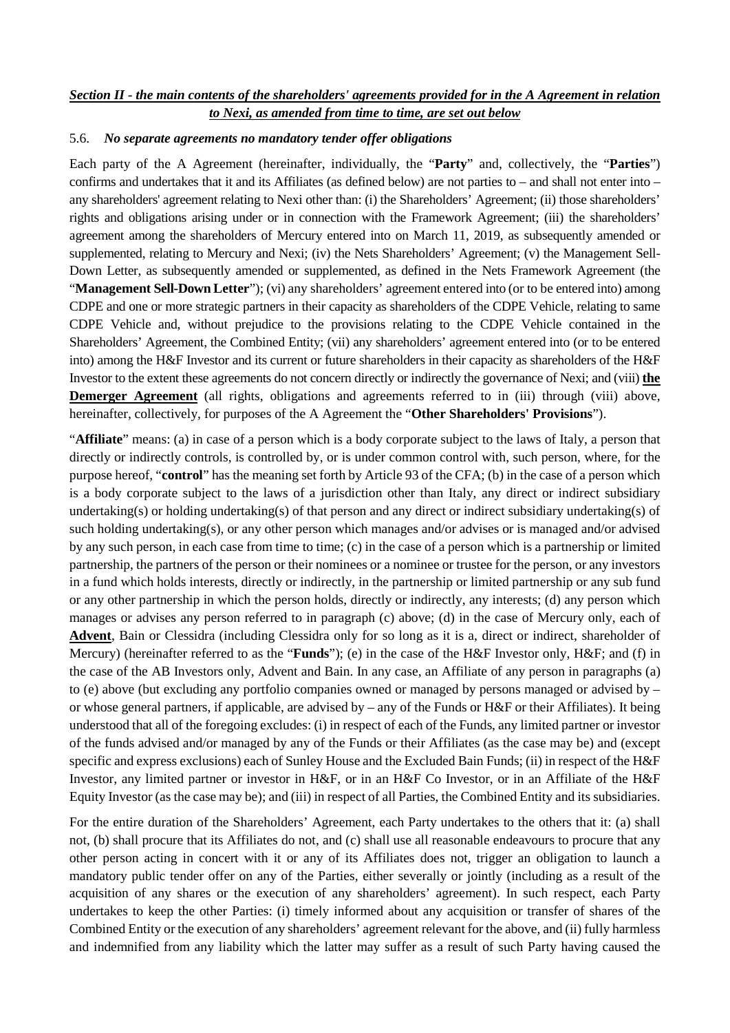### *Section II - the main contents of the shareholders' agreements provided for in the A Agreement in relation to Nexi, as amended from time to time, are set out below*

#### 5.6. *No separate agreements no mandatory tender offer obligations*

Each party of the A Agreement (hereinafter, individually, the "**Party**" and, collectively, the "**Parties**") confirms and undertakes that it and its Affiliates (as defined below) are not parties to – and shall not enter into – any shareholders' agreement relating to Nexi other than: (i) the Shareholders' Agreement; (ii) those shareholders' rights and obligations arising under or in connection with the Framework Agreement; (iii) the shareholders' agreement among the shareholders of Mercury entered into on March 11, 2019, as subsequently amended or supplemented, relating to Mercury and Nexi; (iv) the Nets Shareholders' Agreement; (v) the Management Sell-Down Letter, as subsequently amended or supplemented, as defined in the Nets Framework Agreement (the "**Management Sell-Down Letter**"); (vi) any shareholders' agreement entered into (or to be entered into) among CDPE and one or more strategic partners in their capacity as shareholders of the CDPE Vehicle, relating to same CDPE Vehicle and, without prejudice to the provisions relating to the CDPE Vehicle contained in the Shareholders' Agreement, the Combined Entity; (vii) any shareholders' agreement entered into (or to be entered into) among the H&F Investor and its current or future shareholders in their capacity as shareholders of the H&F Investor to the extent these agreements do not concern directly or indirectly the governance of Nexi; and (viii) **the Demerger Agreement** (all rights, obligations and agreements referred to in (iii) through (viii) above, hereinafter, collectively, for purposes of the A Agreement the "**Other Shareholders' Provisions**").

"**Affiliate**" means: (a) in case of a person which is a body corporate subject to the laws of Italy, a person that directly or indirectly controls, is controlled by, or is under common control with, such person, where, for the purpose hereof, "**control**" has the meaning set forth by Article 93 of the CFA; (b) in the case of a person which is a body corporate subject to the laws of a jurisdiction other than Italy, any direct or indirect subsidiary undertaking(s) or holding undertaking(s) of that person and any direct or indirect subsidiary undertaking(s) of such holding undertaking(s), or any other person which manages and/or advises or is managed and/or advised by any such person, in each case from time to time; (c) in the case of a person which is a partnership or limited partnership, the partners of the person or their nominees or a nominee or trustee for the person, or any investors in a fund which holds interests, directly or indirectly, in the partnership or limited partnership or any sub fund or any other partnership in which the person holds, directly or indirectly, any interests; (d) any person which manages or advises any person referred to in paragraph (c) above; (d) in the case of Mercury only, each of **Advent**, Bain or Clessidra (including Clessidra only for so long as it is a, direct or indirect, shareholder of Mercury) (hereinafter referred to as the "**Funds**"); (e) in the case of the H&F Investor only, H&F; and (f) in the case of the AB Investors only, Advent and Bain. In any case, an Affiliate of any person in paragraphs (a) to (e) above (but excluding any portfolio companies owned or managed by persons managed or advised by – or whose general partners, if applicable, are advised by – any of the Funds or H&F or their Affiliates). It being understood that all of the foregoing excludes: (i) in respect of each of the Funds, any limited partner or investor of the funds advised and/or managed by any of the Funds or their Affiliates (as the case may be) and (except specific and express exclusions) each of Sunley House and the Excluded Bain Funds; (ii) in respect of the H&F Investor, any limited partner or investor in H&F, or in an H&F Co Investor, or in an Affiliate of the H&F Equity Investor (as the case may be); and (iii) in respect of all Parties, the Combined Entity and its subsidiaries.

For the entire duration of the Shareholders' Agreement, each Party undertakes to the others that it: (a) shall not, (b) shall procure that its Affiliates do not, and (c) shall use all reasonable endeavours to procure that any other person acting in concert with it or any of its Affiliates does not, trigger an obligation to launch a mandatory public tender offer on any of the Parties, either severally or jointly (including as a result of the acquisition of any shares or the execution of any shareholders' agreement). In such respect, each Party undertakes to keep the other Parties: (i) timely informed about any acquisition or transfer of shares of the Combined Entity or the execution of any shareholders' agreement relevant for the above, and (ii) fully harmless and indemnified from any liability which the latter may suffer as a result of such Party having caused the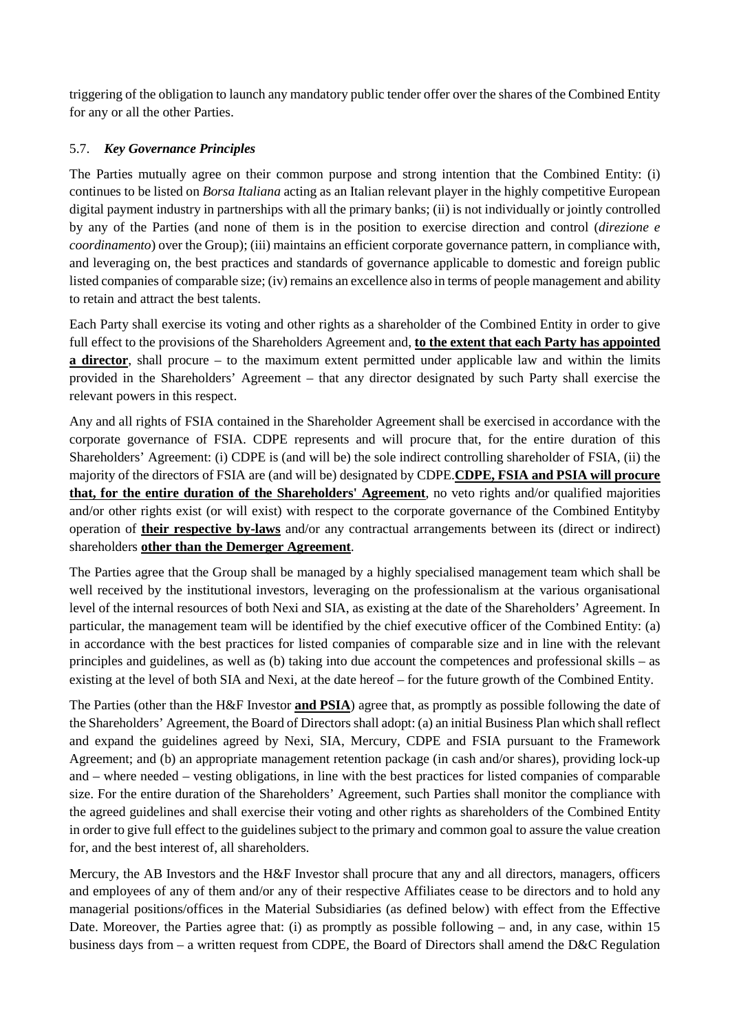triggering of the obligation to launch any mandatory public tender offer over the shares of the Combined Entity for any or all the other Parties.

## 5.7. *Key Governance Principles*

The Parties mutually agree on their common purpose and strong intention that the Combined Entity: (i) continues to be listed on *Borsa Italiana* acting as an Italian relevant player in the highly competitive European digital payment industry in partnerships with all the primary banks; (ii) is not individually or jointly controlled by any of the Parties (and none of them is in the position to exercise direction and control (*direzione e coordinamento*) over the Group); (iii) maintains an efficient corporate governance pattern, in compliance with, and leveraging on, the best practices and standards of governance applicable to domestic and foreign public listed companies of comparable size; (iv) remains an excellence also in terms of people management and ability to retain and attract the best talents.

Each Party shall exercise its voting and other rights as a shareholder of the Combined Entity in order to give full effect to the provisions of the Shareholders Agreement and, **to the extent that each Party has appointed a director**, shall procure – to the maximum extent permitted under applicable law and within the limits provided in the Shareholders' Agreement – that any director designated by such Party shall exercise the relevant powers in this respect.

Any and all rights of FSIA contained in the Shareholder Agreement shall be exercised in accordance with the corporate governance of FSIA. CDPE represents and will procure that, for the entire duration of this Shareholders' Agreement: (i) CDPE is (and will be) the sole indirect controlling shareholder of FSIA, (ii) the majority of the directors of FSIA are (and will be) designated by CDPE.**CDPE, FSIA and PSIA will procure that, for the entire duration of the Shareholders' Agreement**, no veto rights and/or qualified majorities and/or other rights exist (or will exist) with respect to the corporate governance of the Combined Entityby operation of **their respective by-laws** and/or any contractual arrangements between its (direct or indirect) shareholders **other than the Demerger Agreement**.

The Parties agree that the Group shall be managed by a highly specialised management team which shall be well received by the institutional investors, leveraging on the professionalism at the various organisational level of the internal resources of both Nexi and SIA, as existing at the date of the Shareholders' Agreement. In particular, the management team will be identified by the chief executive officer of the Combined Entity: (a) in accordance with the best practices for listed companies of comparable size and in line with the relevant principles and guidelines, as well as (b) taking into due account the competences and professional skills – as existing at the level of both SIA and Nexi, at the date hereof – for the future growth of the Combined Entity.

The Parties (other than the H&F Investor **and PSIA**) agree that, as promptly as possible following the date of the Shareholders' Agreement, the Board of Directors shall adopt: (a) an initial Business Plan which shall reflect and expand the guidelines agreed by Nexi, SIA, Mercury, CDPE and FSIA pursuant to the Framework Agreement; and (b) an appropriate management retention package (in cash and/or shares), providing lock-up and – where needed – vesting obligations, in line with the best practices for listed companies of comparable size. For the entire duration of the Shareholders' Agreement, such Parties shall monitor the compliance with the agreed guidelines and shall exercise their voting and other rights as shareholders of the Combined Entity in order to give full effect to the guidelines subject to the primary and common goal to assure the value creation for, and the best interest of, all shareholders.

Mercury, the AB Investors and the H&F Investor shall procure that any and all directors, managers, officers and employees of any of them and/or any of their respective Affiliates cease to be directors and to hold any managerial positions/offices in the Material Subsidiaries (as defined below) with effect from the Effective Date. Moreover, the Parties agree that: (i) as promptly as possible following – and, in any case, within 15 business days from – a written request from CDPE, the Board of Directors shall amend the D&C Regulation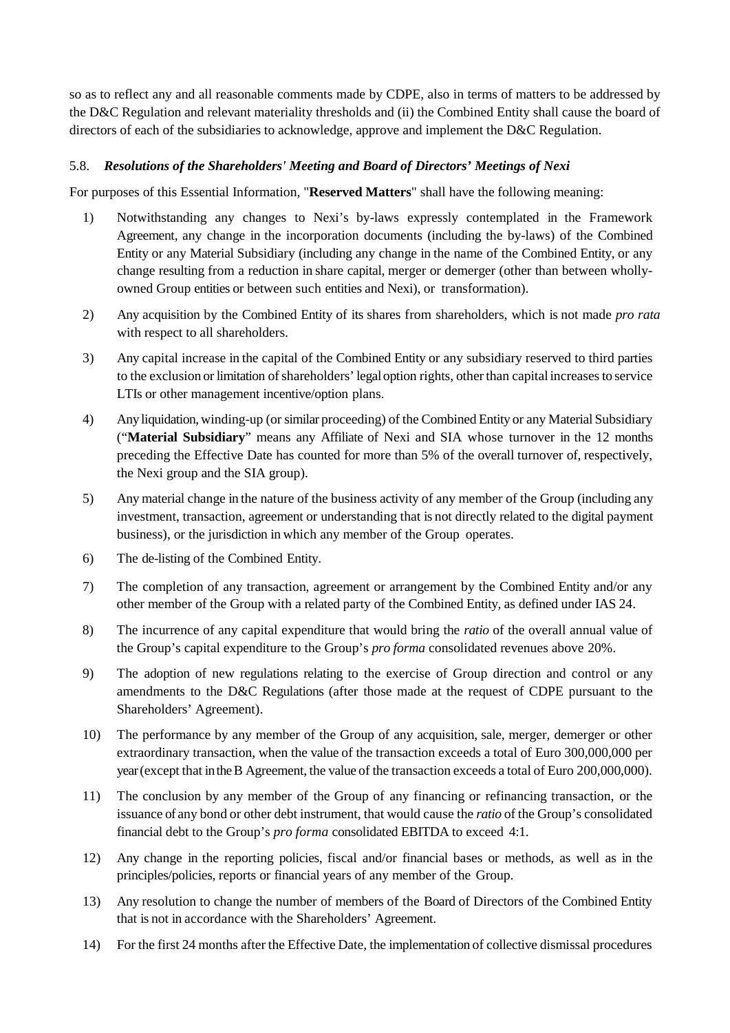so as to reflect any and all reasonable comments made by CDPE, also in terms of matters to be addressed by the D&C Regulation and relevant materiality thresholds and (ii) the Combined Entity shall cause the board of directors of each of the subsidiaries to acknowledge, approve and implement the D&C Regulation.

### 5.8. *Resolutions of the Shareholders' Meeting and Board of Directors' Meetings of Nexi*

For purposes of this Essential Information, "**Reserved Matters**" shall have the following meaning:

- 1) Notwithstanding any changes to Nexi's by-laws expressly contemplated in the Framework Agreement, any change in the incorporation documents (including the by-laws) of the Combined Entity or any Material Subsidiary (including any change in the name of the Combined Entity, or any change resulting from a reduction in share capital, merger or demerger (other than between whollyowned Group entities or between such entities and Nexi), or transformation).
- 2) Any acquisition by the Combined Entity of its shares from shareholders, which is not made *pro rata*  with respect to all shareholders.
- 3) Any capital increase in the capital of the Combined Entity or any subsidiary reserved to third parties to the exclusion or limitation of shareholders' legal option rights, other than capital increases to service LTIs or other management incentive/option plans.
- 4) Any liquidation, winding-up (or similar proceeding) of the Combined Entity or any Material Subsidiary ("**Material Subsidiary**" means any Affiliate of Nexi and SIA whose turnover in the 12 months preceding the Effective Date has counted for more than 5% of the overall turnover of, respectively, the Nexi group and the SIA group).
- 5) Any material change in the nature of the business activity of any member of the Group (including any investment, transaction, agreement or understanding that is not directly related to the digital payment business), or the jurisdiction in which any member of the Group operates.
- 6) The de-listing of the Combined Entity.
- 7) The completion of any transaction, agreement or arrangement by the Combined Entity and/or any other member of the Group with a related party of the Combined Entity, as defined under IAS 24.
- 8) The incurrence of any capital expenditure that would bring the *ratio* of the overall annual value of the Group's capital expenditure to the Group's *pro forma* consolidated revenues above 20%.
- 9) The adoption of new regulations relating to the exercise of Group direction and control or any amendments to the D&C Regulations (after those made at the request of CDPE pursuant to the Shareholders' Agreement).
- 10) The performance by any member of the Group of any acquisition, sale, merger, demerger or other extraordinary transaction, when the value of the transaction exceeds a total of Euro 300,000,000 per year (except that intheB Agreement, the value of the transaction exceeds a total of Euro 200,000,000).
- 11) The conclusion by any member of the Group of any financing or refinancing transaction, or the issuance of any bond or other debt instrument, that would cause the *ratio* of the Group's consolidated financial debt to the Group's *pro forma* consolidated EBITDA to exceed 4:1.
- 12) Any change in the reporting policies, fiscal and/or financial bases or methods, as well as in the principles/policies, reports or financial years of any member of the Group.
- 13) Any resolution to change the number of members of the Board of Directors of the Combined Entity that is not in accordance with the Shareholders' Agreement.
- 14) For the first 24 months after the Effective Date, the implementation of collective dismissal procedures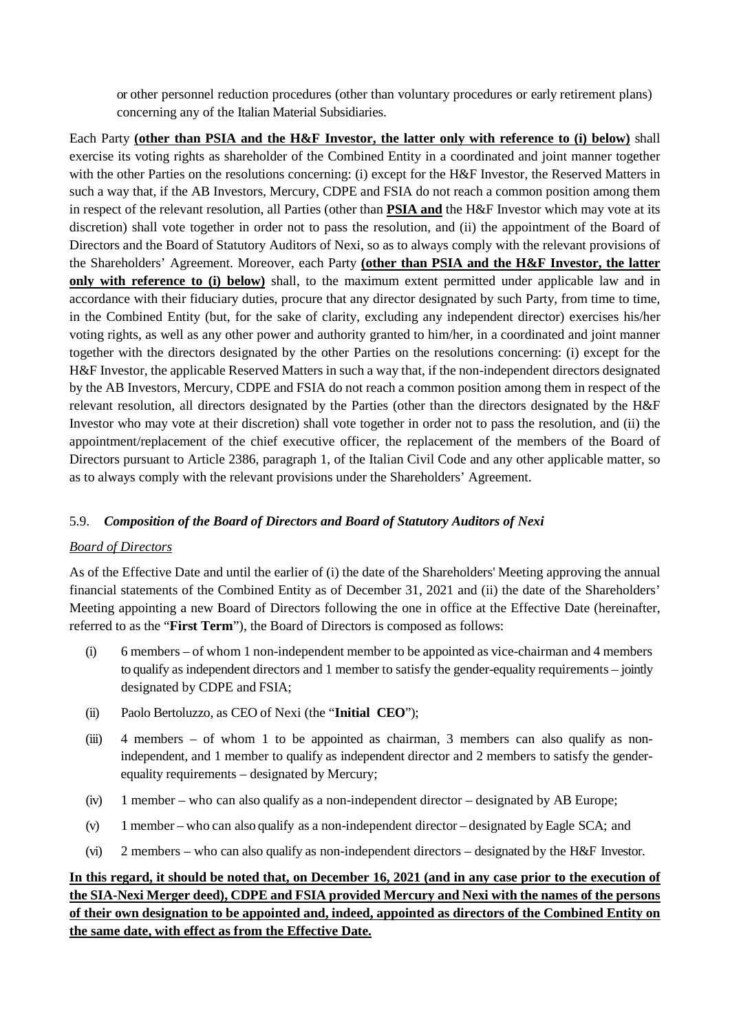or other personnel reduction procedures (other than voluntary procedures or early retirement plans) concerning any of the Italian Material Subsidiaries.

Each Party **(other than PSIA and the H&F Investor, the latter only with reference to (i) below)** shall exercise its voting rights as shareholder of the Combined Entity in a coordinated and joint manner together with the other Parties on the resolutions concerning: (i) except for the H&F Investor, the Reserved Matters in such a way that, if the AB Investors, Mercury, CDPE and FSIA do not reach a common position among them in respect of the relevant resolution, all Parties (other than **PSIA and** the H&F Investor which may vote at its discretion) shall vote together in order not to pass the resolution, and (ii) the appointment of the Board of Directors and the Board of Statutory Auditors of Nexi, so as to always comply with the relevant provisions of the Shareholders' Agreement. Moreover, each Party **(other than PSIA and the H&F Investor, the latter only with reference to (i) below)** shall, to the maximum extent permitted under applicable law and in accordance with their fiduciary duties, procure that any director designated by such Party, from time to time, in the Combined Entity (but, for the sake of clarity, excluding any independent director) exercises his/her voting rights, as well as any other power and authority granted to him/her, in a coordinated and joint manner together with the directors designated by the other Parties on the resolutions concerning: (i) except for the H&F Investor, the applicable Reserved Matters in such a way that, if the non-independent directors designated by the AB Investors, Mercury, CDPE and FSIA do not reach a common position among them in respect of the relevant resolution, all directors designated by the Parties (other than the directors designated by the H&F Investor who may vote at their discretion) shall vote together in order not to pass the resolution, and (ii) the appointment/replacement of the chief executive officer, the replacement of the members of the Board of Directors pursuant to Article 2386, paragraph 1, of the Italian Civil Code and any other applicable matter, so as to always comply with the relevant provisions under the Shareholders' Agreement.

### 5.9. *Composition of the Board of Directors and Board of Statutory Auditors of Nexi*

### *Board of Directors*

As of the Effective Date and until the earlier of (i) the date of the Shareholders' Meeting approving the annual financial statements of the Combined Entity as of December 31, 2021 and (ii) the date of the Shareholders' Meeting appointing a new Board of Directors following the one in office at the Effective Date (hereinafter, referred to as the "**First Term**"), the Board of Directors is composed as follows:

- (i) 6 members of whom 1 non-independent member to be appointed as vice-chairman and 4 members to qualify as independent directors and 1 member to satisfy the gender-equality requirements – jointly designated by CDPE and FSIA;
- (ii) Paolo Bertoluzzo, as CEO of Nexi (the "**Initial CEO**");
- (iii) 4 members of whom 1 to be appointed as chairman, 3 members can also qualify as nonindependent, and 1 member to qualify as independent director and 2 members to satisfy the genderequality requirements – designated by Mercury;
- (iv) 1 member who can also qualify as a non-independent director designated by AB Europe;
- (v) 1 member who can also qualify as a non-independent director designated by Eagle SCA; and
- (vi) 2 members who can also qualify as non-independent directors designated by the H&F Investor.

# **In this regard, it should be noted that, on December 16, 2021 (and in any case prior to the execution of the SIA-Nexi Merger deed), CDPE and FSIA provided Mercury and Nexi with the names of the persons of their own designation to be appointed and, indeed, appointed as directors of the Combined Entity on the same date, with effect as from the Effective Date.**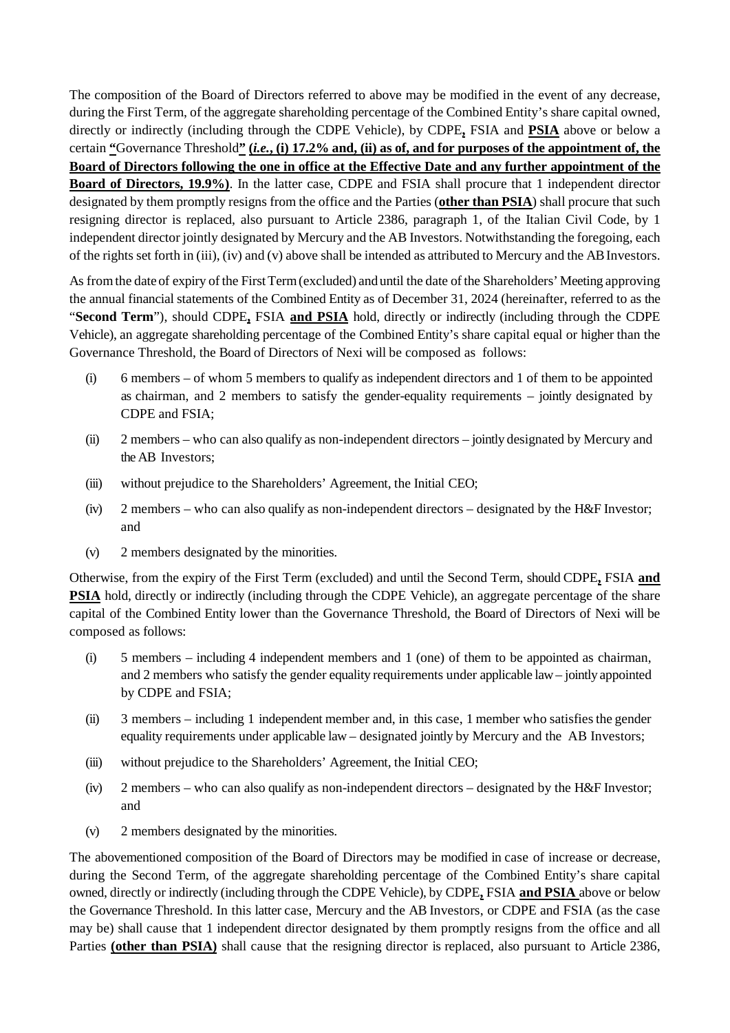The composition of the Board of Directors referred to above may be modified in the event of any decrease, during the First Term, of the aggregate shareholding percentage of the Combined Entity's share capital owned, directly or indirectly (including through the CDPE Vehicle), by CDPE**,** FSIA and **PSIA** above or below a certain **"**Governance Threshold**" (***i.e.***, (i) 17.2% and, (ii) as of, and for purposes of the appointment of, the Board of Directors following the one in office at the Effective Date and any further appointment of the Board of Directors, 19.9%)**. In the latter case, CDPE and FSIA shall procure that 1 independent director designated by them promptly resigns from the office and the Parties (**other than PSIA**) shall procure that such resigning director is replaced, also pursuant to Article 2386, paragraph 1, of the Italian Civil Code, by 1 independent director jointly designated by Mercury and the AB Investors. Notwithstanding the foregoing, each of the rights set forth in (iii), (iv) and (v) above shall be intended as attributed to Mercury and the AB Investors.

As from the date of expiry of the First Term (excluded) and until the date of the Shareholders' Meeting approving the annual financial statements of the Combined Entity as of December 31, 2024 (hereinafter, referred to as the "**Second Term**"), should CDPE**,** FSIA **and PSIA** hold, directly or indirectly (including through the CDPE Vehicle), an aggregate shareholding percentage of the Combined Entity's share capital equal or higher than the Governance Threshold, the Board of Directors of Nexi will be composed as follows:

- (i) 6 members of whom 5 members to qualify as independent directors and 1 of them to be appointed as chairman, and 2 members to satisfy the gender-equality requirements – jointly designated by CDPE and FSIA;
- (ii) 2 members who can also qualify as non-independent directors jointly designated by Mercury and the AB Investors;
- (iii) without prejudice to the Shareholders' Agreement, the Initial CEO;
- (iv) 2 members who can also qualify as non-independent directors designated by the H&F Investor; and
- (v) 2 members designated by the minorities.

Otherwise, from the expiry of the First Term (excluded) and until the Second Term, should CDPE**,** FSIA **and PSIA** hold, directly or indirectly (including through the CDPE Vehicle), an aggregate percentage of the share capital of the Combined Entity lower than the Governance Threshold, the Board of Directors of Nexi will be composed as follows:

- (i) 5 members including 4 independent members and 1 (one) of them to be appointed as chairman, and 2 members who satisfy the gender equality requirements under applicable law – jointly appointed by CDPE and FSIA;
- (ii) 3 members including 1 independent member and, in this case, 1 member who satisfiesthe gender equality requirements under applicable law – designated jointly by Mercury and the AB Investors;
- (iii) without prejudice to the Shareholders' Agreement, the Initial CEO;
- (iv)  $2$  members who can also qualify as non-independent directors designated by the H&F Investor; and
- (v) 2 members designated by the minorities.

The abovementioned composition of the Board of Directors may be modified in case of increase or decrease, during the Second Term, of the aggregate shareholding percentage of the Combined Entity's share capital owned, directly or indirectly (including through the CDPE Vehicle), by CDPE**,** FSIA **and PSIA** above or below the Governance Threshold. In this latter case, Mercury and the AB Investors, or CDPE and FSIA (as the case may be) shall cause that 1 independent director designated by them promptly resigns from the office and all Parties **(other than PSIA)** shall cause that the resigning director is replaced, also pursuant to Article 2386,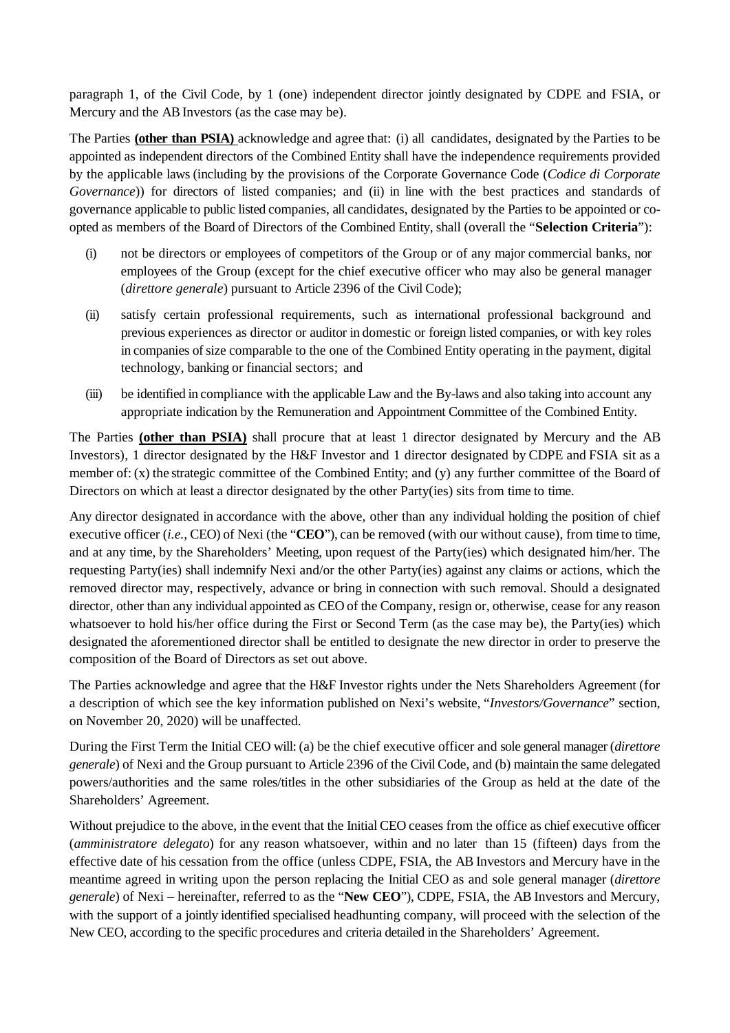paragraph 1, of the Civil Code, by 1 (one) independent director jointly designated by CDPE and FSIA, or Mercury and the AB Investors (as the case may be).

The Parties **(other than PSIA)** acknowledge and agree that: (i) all candidates, designated by the Parties to be appointed as independent directors of the Combined Entity shall have the independence requirements provided by the applicable laws (including by the provisions of the Corporate Governance Code (*Codice di Corporate Governance*)) for directors of listed companies; and (ii) in line with the best practices and standards of governance applicable to public listed companies, all candidates, designated by the Parties to be appointed or coopted as members of the Board of Directors of the Combined Entity, shall (overall the "**Selection Criteria**"):

- (i) not be directors or employees of competitors of the Group or of any major commercial banks, nor employees of the Group (except for the chief executive officer who may also be general manager (*direttore generale*) pursuant to Article 2396 of the Civil Code);
- (ii) satisfy certain professional requirements, such as international professional background and previous experiences as director or auditor in domestic or foreign listed companies, or with key roles in companies of size comparable to the one of the Combined Entity operating in the payment, digital technology, banking or financial sectors; and
- (iii) be identified in compliance with the applicable Law and the By-laws and also taking into account any appropriate indication by the Remuneration and Appointment Committee of the Combined Entity.

The Parties **(other than PSIA)** shall procure that at least 1 director designated by Mercury and the AB Investors), 1 director designated by the H&F Investor and 1 director designated by CDPE and FSIA sit as a member of: (x) the strategic committee of the Combined Entity; and (y) any further committee of the Board of Directors on which at least a director designated by the other Party(ies) sits from time to time.

Any director designated in accordance with the above, other than any individual holding the position of chief executive officer (*i.e.,* CEO) of Nexi (the "**CEO**"), can be removed (with our without cause), from time to time, and at any time, by the Shareholders' Meeting, upon request of the Party(ies) which designated him/her. The requesting Party(ies) shall indemnify Nexi and/or the other Party(ies) against any claims or actions, which the removed director may, respectively, advance or bring in connection with such removal. Should a designated director, other than any individual appointed as CEO of the Company, resign or, otherwise, cease for any reason whatsoever to hold his/her office during the First or Second Term (as the case may be), the Party(ies) which designated the aforementioned director shall be entitled to designate the new director in order to preserve the composition of the Board of Directors as set out above.

The Parties acknowledge and agree that the H&F Investor rights under the Nets Shareholders Agreement (for a description of which see the key information published on Nexi's website, "*Investors/Governance*" section, on November 20, 2020) will be unaffected.

During the First Term the Initial CEO will: (a) be the chief executive officer and sole general manager (*direttore generale*) of Nexi and the Group pursuant to Article 2396 of the Civil Code, and (b) maintain the same delegated powers/authorities and the same roles/titles in the other subsidiaries of the Group as held at the date of the Shareholders' Agreement.

Without prejudice to the above, in the event that the Initial CEO ceases from the office as chief executive officer (*amministratore delegato*) for any reason whatsoever, within and no later than 15 (fifteen) days from the effective date of his cessation from the office (unless CDPE, FSIA, the AB Investors and Mercury have in the meantime agreed in writing upon the person replacing the Initial CEO as and sole general manager (*direttore generale*) of Nexi – hereinafter, referred to as the "**New CEO**"), CDPE, FSIA, the AB Investors and Mercury, with the support of a jointly identified specialised headhunting company, will proceed with the selection of the New CEO, according to the specific procedures and criteria detailed in the Shareholders' Agreement.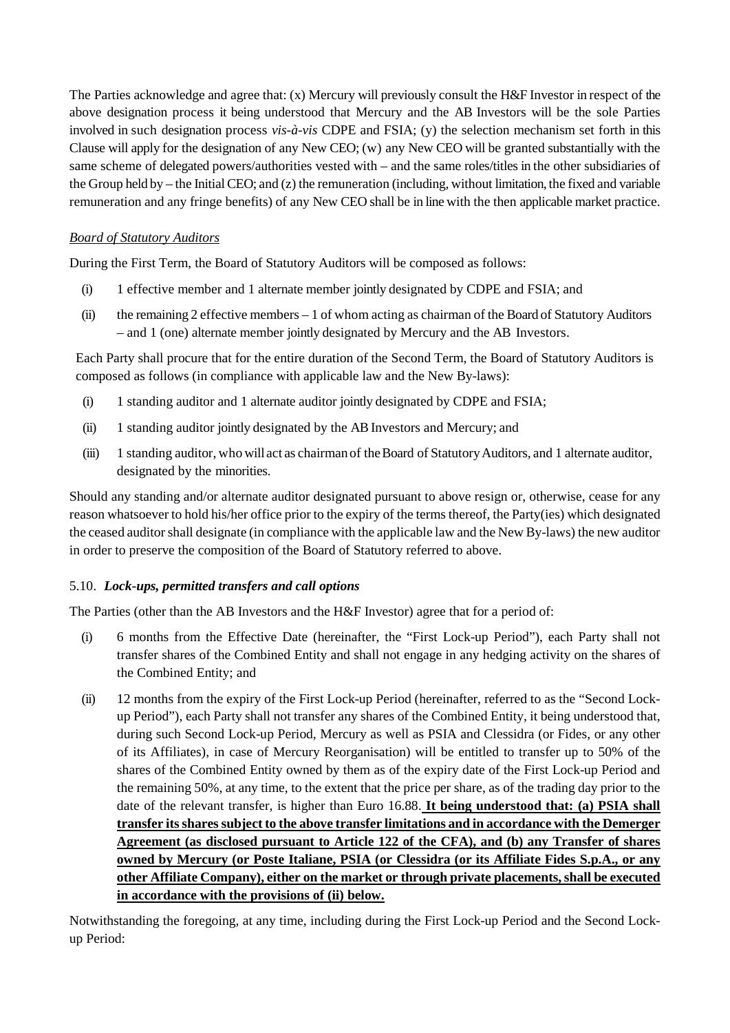The Parties acknowledge and agree that: (x) Mercury will previously consult the H&F Investor in respect of the above designation process it being understood that Mercury and the AB Investors will be the sole Parties involved in such designation process *vis-à-vis* CDPE and FSIA; (y) the selection mechanism set forth in this Clause will apply for the designation of any New CEO; (w) any New CEO will be granted substantially with the same scheme of delegated powers/authorities vested with – and the same roles/titles in the other subsidiaries of the Group held by – the Initial CEO; and (z) the remuneration (including, without limitation, the fixed and variable remuneration and any fringe benefits) of any New CEO shall be in line with the then applicable market practice.

## *Board of Statutory Auditors*

During the First Term, the Board of Statutory Auditors will be composed as follows:

- (i) 1 effective member and 1 alternate member jointly designated by CDPE and FSIA; and
- (ii) the remaining 2 effective members 1 of whom acting as chairman of the Board of Statutory Auditors – and 1 (one) alternate member jointly designated by Mercury and the AB Investors.

Each Party shall procure that for the entire duration of the Second Term, the Board of Statutory Auditors is composed as follows (in compliance with applicable law and the New By-laws):

- (i) 1 standing auditor and 1 alternate auditor jointly designated by CDPE and FSIA;
- (ii) 1 standing auditor jointly designated by the AB Investors and Mercury; and
- (iii) 1 standing auditor, who will act as chairman of theBoard of StatutoryAuditors, and 1 alternate auditor, designated by the minorities.

Should any standing and/or alternate auditor designated pursuant to above resign or, otherwise, cease for any reason whatsoever to hold his/her office prior to the expiry of the terms thereof, the Party(ies) which designated the ceased auditor shall designate (in compliance with the applicable law and the New By-laws) the new auditor in order to preserve the composition of the Board of Statutory referred to above.

### 5.10. *Lock-ups, permitted transfers and call options*

The Parties (other than the AB Investors and the H&F Investor) agree that for a period of:

- (i) 6 months from the Effective Date (hereinafter, the "First Lock-up Period"), each Party shall not transfer shares of the Combined Entity and shall not engage in any hedging activity on the shares of the Combined Entity; and
- (ii) 12 months from the expiry of the First Lock-up Period (hereinafter, referred to as the "Second Lockup Period"), each Party shall not transfer any shares of the Combined Entity, it being understood that, during such Second Lock-up Period, Mercury as well as PSIA and Clessidra (or Fides, or any other of its Affiliates), in case of Mercury Reorganisation) will be entitled to transfer up to 50% of the shares of the Combined Entity owned by them as of the expiry date of the First Lock-up Period and the remaining 50%, at any time, to the extent that the price per share, as of the trading day prior to the date of the relevant transfer, is higher than Euro 16.88. **It being understood that: (a) PSIA shall transfer its shares subject to the above transfer limitations and in accordance with the Demerger Agreement (as disclosed pursuant to Article 122 of the CFA), and (b) any Transfer of shares owned by Mercury (or Poste Italiane, PSIA (or Clessidra (or its Affiliate Fides S.p.A., or any other Affiliate Company), either on the market or through private placements, shall be executed in accordance with the provisions of (ii) below.**

Notwithstanding the foregoing, at any time, including during the First Lock-up Period and the Second Lockup Period: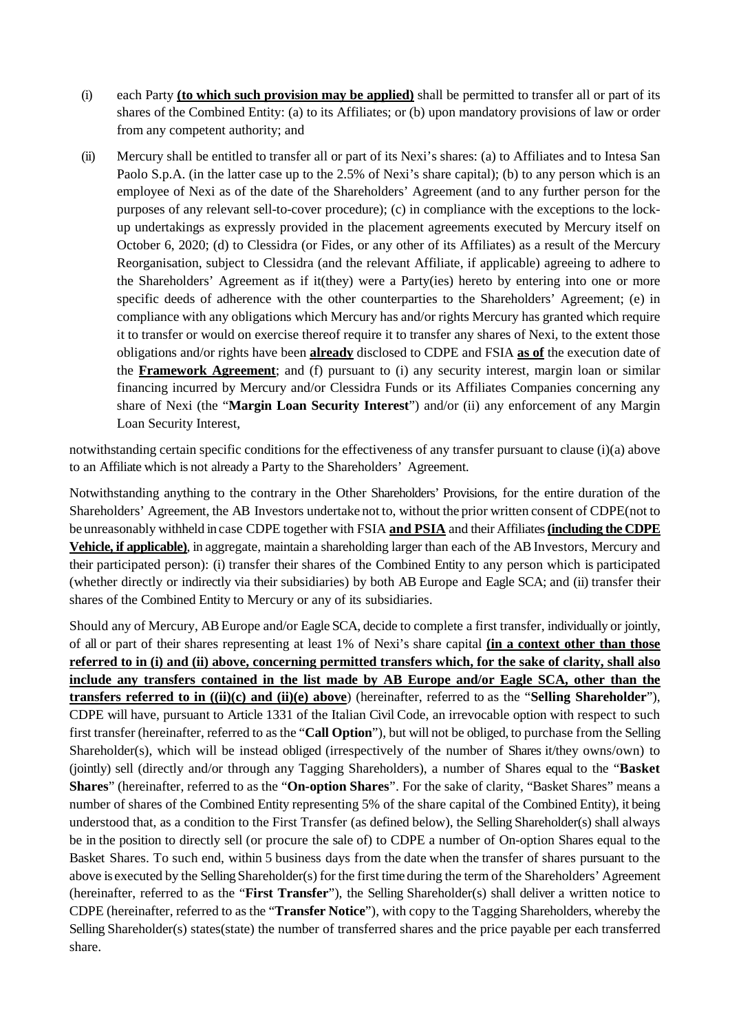- (i) each Party **(to which such provision may be applied)** shall be permitted to transfer all or part of its shares of the Combined Entity: (a) to its Affiliates; or (b) upon mandatory provisions of law or order from any competent authority; and
- (ii) Mercury shall be entitled to transfer all or part of its Nexi's shares: (a) to Affiliates and to Intesa San Paolo S.p.A. (in the latter case up to the 2.5% of Nexi's share capital); (b) to any person which is an employee of Nexi as of the date of the Shareholders' Agreement (and to any further person for the purposes of any relevant sell-to-cover procedure); (c) in compliance with the exceptions to the lockup undertakings as expressly provided in the placement agreements executed by Mercury itself on October 6, 2020; (d) to Clessidra (or Fides, or any other of its Affiliates) as a result of the Mercury Reorganisation, subject to Clessidra (and the relevant Affiliate, if applicable) agreeing to adhere to the Shareholders' Agreement as if it(they) were a Party(ies) hereto by entering into one or more specific deeds of adherence with the other counterparties to the Shareholders' Agreement; (e) in compliance with any obligations which Mercury has and/or rights Mercury has granted which require it to transfer or would on exercise thereof require it to transfer any shares of Nexi, to the extent those obligations and/or rights have been **already** disclosed to CDPE and FSIA **as of** the execution date of the **Framework Agreement**; and (f) pursuant to (i) any security interest, margin loan or similar financing incurred by Mercury and/or Clessidra Funds or its Affiliates Companies concerning any share of Nexi (the "**Margin Loan Security Interest**") and/or (ii) any enforcement of any Margin Loan Security Interest,

notwithstanding certain specific conditions for the effectiveness of any transfer pursuant to clause (i)(a) above to an Affiliate which is not already a Party to the Shareholders' Agreement.

Notwithstanding anything to the contrary in the Other Shareholders' Provisions, for the entire duration of the Shareholders' Agreement, the AB Investors undertake not to, without the prior written consent of CDPE(not to be unreasonably withheld in case CDPE together with FSIA **and PSIA** and their Affiliates **(including the CDPE Vehicle, if applicable)**, in aggregate, maintain a shareholding larger than each of the AB Investors, Mercury and their participated person): (i) transfer their shares of the Combined Entity to any person which is participated (whether directly or indirectly via their subsidiaries) by both AB Europe and Eagle SCA; and (ii) transfer their shares of the Combined Entity to Mercury or any of its subsidiaries.

Should any of Mercury, AB Europe and/or Eagle SCA, decide to complete a first transfer, individually or jointly, of all or part of their shares representing at least 1% of Nexi's share capital **(in a context other than those referred to in (i) and (ii) above, concerning permitted transfers which, for the sake of clarity, shall also include any transfers contained in the list made by AB Europe and/or Eagle SCA, other than the transfers referred to in ((ii)(c) and (ii)(e) above**) (hereinafter, referred to as the "**Selling Shareholder**"), CDPE will have, pursuant to Article 1331 of the Italian Civil Code, an irrevocable option with respect to such first transfer (hereinafter, referred to as the "**Call Option**"), but will not be obliged, to purchase from the Selling Shareholder(s), which will be instead obliged (irrespectively of the number of Shares it/they owns/own) to (jointly) sell (directly and/or through any Tagging Shareholders), a number of Shares equal to the "**Basket Shares**" (hereinafter, referred to as the "**On-option Shares**". For the sake of clarity, "Basket Shares" means a number of shares of the Combined Entity representing 5% of the share capital of the Combined Entity), it being understood that, as a condition to the First Transfer (as defined below), the Selling Shareholder(s) shall always be in the position to directly sell (or procure the sale of) to CDPE a number of On-option Shares equal to the Basket Shares. To such end, within 5 business days from the date when the transfer of shares pursuant to the above is executed by the Selling Shareholder(s) for the first time during the term of the Shareholders' Agreement (hereinafter, referred to as the "**First Transfer**"), the Selling Shareholder(s) shall deliver a written notice to CDPE (hereinafter, referred to as the "**Transfer Notice**"), with copy to the Tagging Shareholders, whereby the Selling Shareholder(s) states(state) the number of transferred shares and the price payable per each transferred share.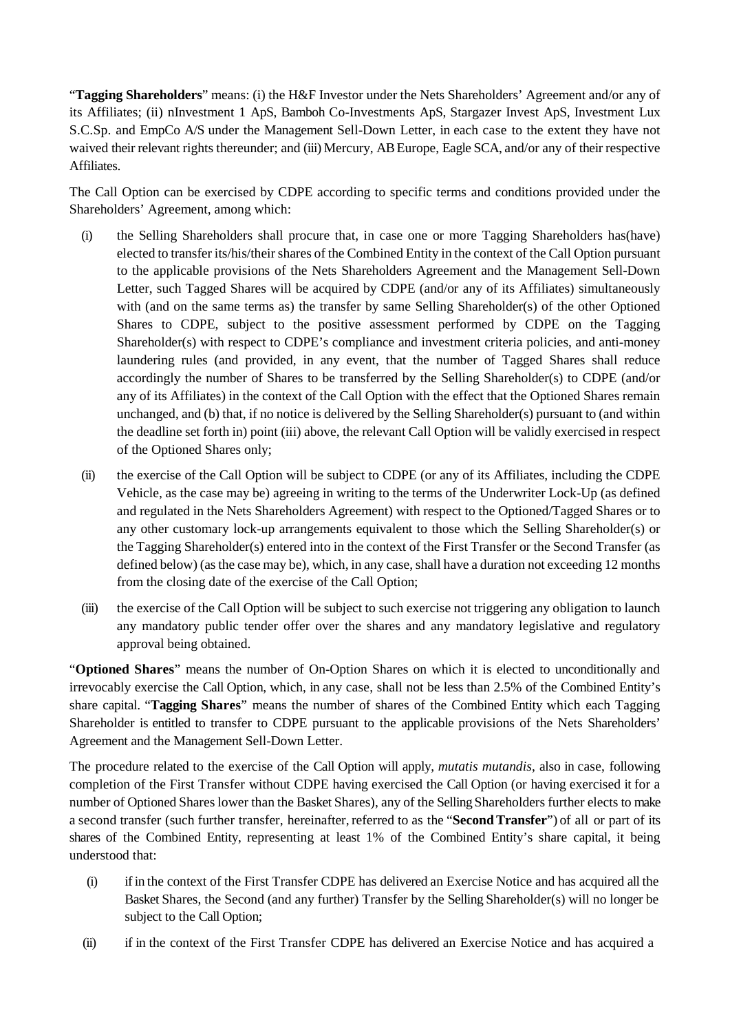"**Tagging Shareholders**" means: (i) the H&F Investor under the Nets Shareholders' Agreement and/or any of its Affiliates; (ii) nInvestment 1 ApS, Bamboh Co-Investments ApS, Stargazer Invest ApS, Investment Lux S.C.Sp. and EmpCo A/S under the Management Sell-Down Letter, in each case to the extent they have not waived their relevant rights thereunder; and (iii) Mercury, AB Europe, Eagle SCA, and/or any of their respective Affiliates.

The Call Option can be exercised by CDPE according to specific terms and conditions provided under the Shareholders' Agreement, among which:

- (i) the Selling Shareholders shall procure that, in case one or more Tagging Shareholders has(have) elected to transfer its/his/their shares of the Combined Entity in the context of the Call Option pursuant to the applicable provisions of the Nets Shareholders Agreement and the Management Sell-Down Letter, such Tagged Shares will be acquired by CDPE (and/or any of its Affiliates) simultaneously with (and on the same terms as) the transfer by same Selling Shareholder(s) of the other Optioned Shares to CDPE, subject to the positive assessment performed by CDPE on the Tagging Shareholder(s) with respect to CDPE's compliance and investment criteria policies, and anti-money laundering rules (and provided, in any event, that the number of Tagged Shares shall reduce accordingly the number of Shares to be transferred by the Selling Shareholder(s) to CDPE (and/or any of its Affiliates) in the context of the Call Option with the effect that the Optioned Shares remain unchanged, and (b) that, if no notice is delivered by the Selling Shareholder(s) pursuant to (and within the deadline set forth in) point (iii) above, the relevant Call Option will be validly exercised in respect of the Optioned Shares only;
- (ii) the exercise of the Call Option will be subject to CDPE (or any of its Affiliates, including the CDPE Vehicle, as the case may be) agreeing in writing to the terms of the Underwriter Lock-Up (as defined and regulated in the Nets Shareholders Agreement) with respect to the Optioned/Tagged Shares or to any other customary lock-up arrangements equivalent to those which the Selling Shareholder(s) or the Tagging Shareholder(s) entered into in the context of the First Transfer or the Second Transfer (as defined below) (as the case may be), which, in any case, shall have a duration not exceeding 12 months from the closing date of the exercise of the Call Option;
- (iii) the exercise of the Call Option will be subject to such exercise not triggering any obligation to launch any mandatory public tender offer over the shares and any mandatory legislative and regulatory approval being obtained.

"**Optioned Shares**" means the number of On-Option Shares on which it is elected to unconditionally and irrevocably exercise the Call Option, which, in any case, shall not be less than 2.5% of the Combined Entity's share capital. "**Tagging Shares**" means the number of shares of the Combined Entity which each Tagging Shareholder is entitled to transfer to CDPE pursuant to the applicable provisions of the Nets Shareholders' Agreement and the Management Sell-Down Letter.

The procedure related to the exercise of the Call Option will apply, *mutatis mutandis*, also in case, following completion of the First Transfer without CDPE having exercised the Call Option (or having exercised it for a number of Optioned Shares lower than the Basket Shares), any of the Selling Shareholders further elects to make a second transfer (such further transfer, hereinafter, referred to as the "**SecondTransfer**") of all or part of its shares of the Combined Entity, representing at least 1% of the Combined Entity's share capital, it being understood that:

- (i) if in the context of the First Transfer CDPE has delivered an Exercise Notice and has acquired all the Basket Shares, the Second (and any further) Transfer by the Selling Shareholder(s) will no longer be subject to the Call Option;
- (ii) if in the context of the First Transfer CDPE has delivered an Exercise Notice and has acquired a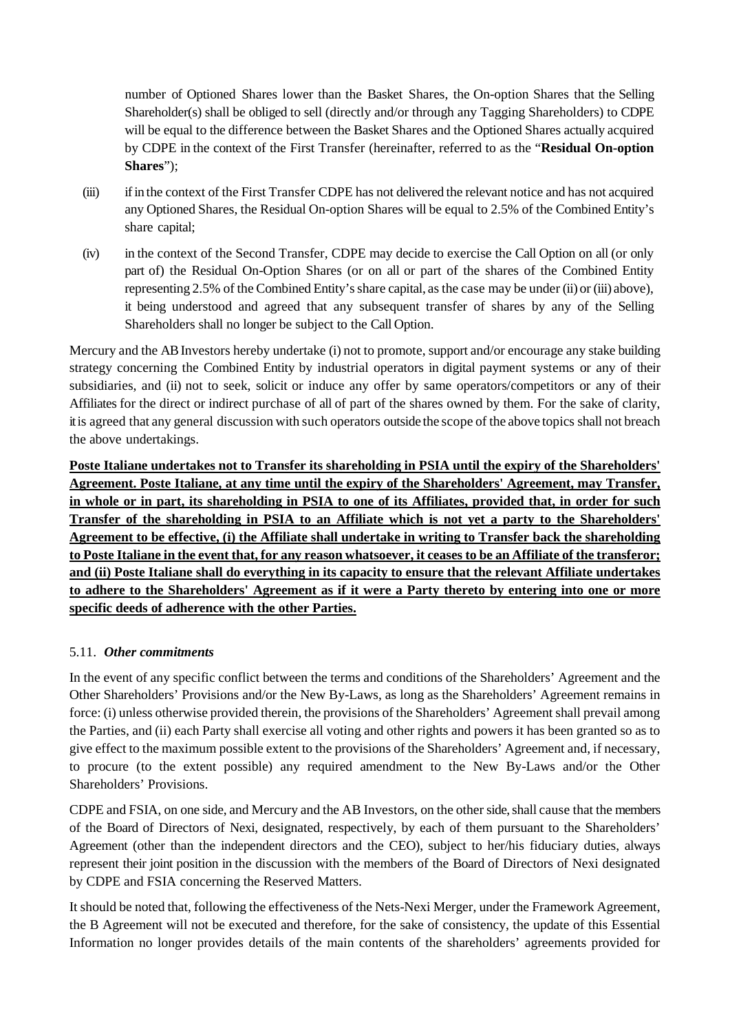number of Optioned Shares lower than the Basket Shares, the On-option Shares that the Selling Shareholder(s) shall be obliged to sell (directly and/or through any Tagging Shareholders) to CDPE will be equal to the difference between the Basket Shares and the Optioned Shares actually acquired by CDPE in the context of the First Transfer (hereinafter, referred to as the "**Residual On-option Shares**");

- (iii) if in the context of the First Transfer CDPE has not delivered the relevant notice and has not acquired any Optioned Shares, the Residual On-option Shares will be equal to 2.5% of the Combined Entity's share capital;
- (iv) in the context of the Second Transfer, CDPE may decide to exercise the Call Option on all (or only part of) the Residual On-Option Shares (or on all or part of the shares of the Combined Entity representing 2.5% of the Combined Entity's share capital, as the case may be under (ii) or (iii) above), it being understood and agreed that any subsequent transfer of shares by any of the Selling Shareholders shall no longer be subject to the Call Option.

Mercury and the AB Investors hereby undertake (i) not to promote, support and/or encourage any stake building strategy concerning the Combined Entity by industrial operators in digital payment systems or any of their subsidiaries, and (ii) not to seek, solicit or induce any offer by same operators/competitors or any of their Affiliates for the direct or indirect purchase of all of part of the shares owned by them. For the sake of clarity, it is agreed that any general discussion with such operators outside the scope of the above topics shall not breach the above undertakings.

**Poste Italiane undertakes not to Transfer its shareholding in PSIA until the expiry of the Shareholders' Agreement. Poste Italiane, at any time until the expiry of the Shareholders' Agreement, may Transfer, in whole or in part, its shareholding in PSIA to one of its Affiliates, provided that, in order for such Transfer of the shareholding in PSIA to an Affiliate which is not yet a party to the Shareholders' Agreement to be effective, (i) the Affiliate shall undertake in writing to Transfer back the shareholding to Poste Italiane in the event that, for any reason whatsoever, it ceases to be an Affiliate of the transferor; and (ii) Poste Italiane shall do everything in its capacity to ensure that the relevant Affiliate undertakes to adhere to the Shareholders' Agreement as if it were a Party thereto by entering into one or more specific deeds of adherence with the other Parties.**

### 5.11. *Other commitments*

In the event of any specific conflict between the terms and conditions of the Shareholders' Agreement and the Other Shareholders' Provisions and/or the New By-Laws, as long as the Shareholders' Agreement remains in force: (i) unless otherwise provided therein, the provisions of the Shareholders' Agreement shall prevail among the Parties, and (ii) each Party shall exercise all voting and other rights and powers it has been granted so as to give effect to the maximum possible extent to the provisions of the Shareholders' Agreement and, if necessary, to procure (to the extent possible) any required amendment to the New By-Laws and/or the Other Shareholders' Provisions.

CDPE and FSIA, on one side, and Mercury and the AB Investors, on the other side, shall cause that the members of the Board of Directors of Nexi, designated, respectively, by each of them pursuant to the Shareholders' Agreement (other than the independent directors and the CEO), subject to her/his fiduciary duties, always represent their joint position in the discussion with the members of the Board of Directors of Nexi designated by CDPE and FSIA concerning the Reserved Matters.

It should be noted that, following the effectiveness of the Nets-Nexi Merger, under the Framework Agreement, the B Agreement will not be executed and therefore, for the sake of consistency, the update of this Essential Information no longer provides details of the main contents of the shareholders' agreements provided for